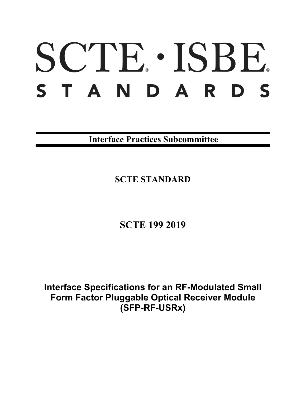# SCTE · ISBE. S T A N D A R D S

**Interface Practices Subcommittee**

**SCTE STANDARD**

**SCTE 199 2019**

**Interface Specifications for an RF-Modulated Small Form Factor Pluggable Optical Receiver Module (SFP-RF-USRx)**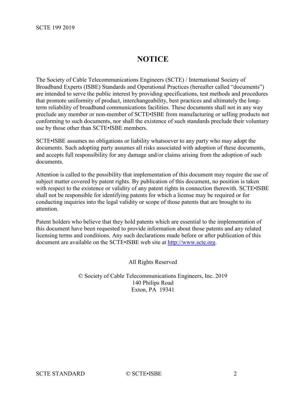# **NOTICE**

The Society of Cable Telecommunications Engineers (SCTE) / International Society of Broadband Experts (ISBE) Standards and Operational Practices (hereafter called "documents") are intended to serve the public interest by providing specifications, test methods and procedures that promote uniformity of product, interchangeability, best practices and ultimately the longterm reliability of broadband communications facilities. These documents shall not in any way preclude any member or non-member of SCTE•ISBE from manufacturing or selling products not conforming to such documents, nor shall the existence of such standards preclude their voluntary use by those other than SCTE•ISBE members.

SCTE•ISBE assumes no obligations or liability whatsoever to any party who may adopt the documents. Such adopting party assumes all risks associated with adoption of these documents, and accepts full responsibility for any damage and/or claims arising from the adoption of such documents.

Attention is called to the possibility that implementation of this document may require the use of subject matter covered by patent rights. By publication of this document, no position is taken with respect to the existence or validity of any patent rights in connection therewith. SCTE•ISBE shall not be responsible for identifying patents for which a license may be required or for conducting inquiries into the legal validity or scope of those patents that are brought to its attention.

Patent holders who believe that they hold patents which are essential to the implementation of this document have been requested to provide information about those patents and any related licensing terms and conditions. Any such declarations made before or after publication of this document are available on the SCTE•ISBE web site at [http://www.scte.org.](http://www.scte.org/)

All Rights Reserved

© Society of Cable Telecommunications Engineers, Inc. 2019 140 Philips Road Exton, PA 19341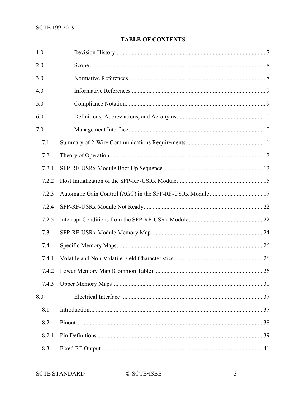# **TABLE OF CONTENTS**

| 1.0   |  |  |  |
|-------|--|--|--|
| 2.0   |  |  |  |
| 3.0   |  |  |  |
| 4.0   |  |  |  |
| 5.0   |  |  |  |
| 6.0   |  |  |  |
| 7.0   |  |  |  |
| 7.1   |  |  |  |
| 7.2   |  |  |  |
| 7.2.1 |  |  |  |
| 7.2.2 |  |  |  |
| 7.2.3 |  |  |  |
| 7.2.4 |  |  |  |
| 7.2.5 |  |  |  |
| 7.3   |  |  |  |
| 7.4   |  |  |  |
| 7.4.1 |  |  |  |
|       |  |  |  |
| 7.4.3 |  |  |  |
| 8.0   |  |  |  |
| 8.1   |  |  |  |
| 8.2   |  |  |  |
| 8.2.1 |  |  |  |
| 8.3   |  |  |  |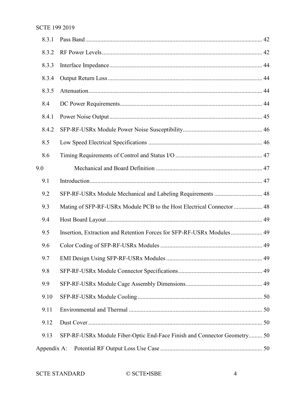| 8.3.1       |                                                                          |  |
|-------------|--------------------------------------------------------------------------|--|
| 8.3.2       |                                                                          |  |
| 8.3.3       |                                                                          |  |
| 8.3.4       |                                                                          |  |
| 8.3.5       |                                                                          |  |
| 8.4         |                                                                          |  |
| 8.4.1       |                                                                          |  |
| 8.4.2       |                                                                          |  |
| 8.5         |                                                                          |  |
| 8.6         |                                                                          |  |
| 9.0         |                                                                          |  |
| 9.1         |                                                                          |  |
| 9.2         |                                                                          |  |
| 9.3         | Mating of SFP-RF-USRx Module PCB to the Host Electrical Connector  48    |  |
| 9.4         |                                                                          |  |
| 9.5         | Insertion, Extraction and Retention Forces for SFP-RF-USRx Modules 49    |  |
| 9.6         |                                                                          |  |
| 9.7         |                                                                          |  |
| 9.8         |                                                                          |  |
| 9.9         |                                                                          |  |
| 9.10        |                                                                          |  |
| 9.11        |                                                                          |  |
| 9.12        |                                                                          |  |
| 9.13        | SFP-RF-USRx Module Fiber-Optic End-Face Finish and Connector Geometry 50 |  |
| Appendix A: |                                                                          |  |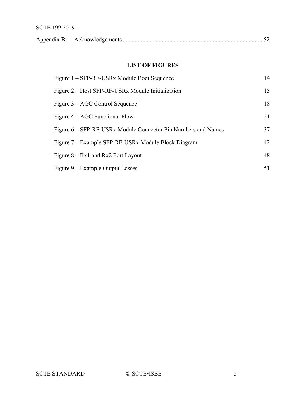# SCTE 199 2019

# **LIST OF FIGURES**

| Figure 1 – SFP-RF-USRx Module Boot Sequence                   | 14 |
|---------------------------------------------------------------|----|
| Figure 2 – Host SFP-RF-USRx Module Initialization             | 15 |
| Figure 3 – AGC Control Sequence                               | 18 |
| Figure $4 - AGC$ Functional Flow                              | 21 |
| Figure 6 – SFP-RF-USRx Module Connector Pin Numbers and Names | 37 |
| Figure 7 – Example SFP-RF-USRx Module Block Diagram           | 42 |
| Figure $8 - Rx1$ and Rx2 Port Layout                          | 48 |
| Figure 9 – Example Output Losses                              | 51 |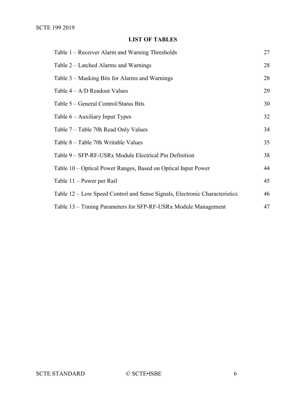# **LIST OF TABLES**

| Table 1 – Receiver Alarm and Warning Thresholds                            | 27 |
|----------------------------------------------------------------------------|----|
| Table 2 – Latched Alarms and Warnings                                      | 28 |
| Table 3 – Masking Bits for Alarms and Warnings                             | 28 |
| Table $4 - A/D$ Readout Values                                             | 29 |
| Table 5 – General Control/Status Bits                                      | 30 |
| Table $6 -$ Auxiliary Input Types                                          | 32 |
| Table 7 – Table 70h Read Only Values                                       | 34 |
| Table 8 – Table 70h Writable Values                                        | 35 |
| Table 9 – SFP-RF-USRx Module Electrical Pin Definition                     | 38 |
| Table 10 – Optical Power Ranges, Based on Optical Input Power              | 44 |
| Table 11 – Power per Rail                                                  | 45 |
| Table 12 – Low Speed Control and Sense Signals, Electronic Characteristics | 46 |
| Table 13 – Timing Parameters for SFP-RF-USRx Module Management             | 47 |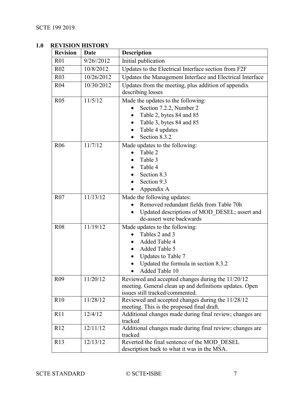# <span id="page-6-0"></span>**1.0 REVISION HISTORY**

| <b>Revision</b> | Date          | <b>Description</b>                                                                                                                                                     |
|-----------------|---------------|------------------------------------------------------------------------------------------------------------------------------------------------------------------------|
| R <sub>01</sub> | $9/26$ //2012 | Initial publication                                                                                                                                                    |
| R <sub>02</sub> | 10/8/2012     | Updates to the Electrical Interface section from F2F                                                                                                                   |
| R03             | 10/26/2012    | Updates the Management Interface and Electrical Interface                                                                                                              |
| R <sub>04</sub> | 10/30/2012    | Updates from the meeting, plus addition of appendix<br>describing losses                                                                                               |
| R05             | 11/5/12       | Made the updates to the following:<br>Section 7.2.2, Number 2<br>Table 2, bytes 84 and 85<br>$\bullet$<br>Table 3, bytes 84 and 85<br>Table 4 updates<br>Section 8.3.2 |
| R <sub>06</sub> | 11/7/12       | Made updates to the following:<br>Table 2<br>Table 3<br>Table 4<br>Section 8.3<br>Section 9.3<br>Appendix A                                                            |
| R <sub>07</sub> | 11/13/12      | Made the following updates:<br>Removed redundant fields from Table 70h<br>Updated descriptions of MOD DESEL; assert and<br>de-assert were backwards                    |
| <b>R08</b>      | 11/19/12      | Made updates to the following:<br>Tables 2 and 3<br>Added Table 4<br>Added Table 5<br>Updates to Table 7<br>Updated the formula in section 8.3.2<br>Added Table 10     |
| R <sub>09</sub> | 11/20/12      | Reviewed and accepted changes during the 11/20/12<br>meeting. General clean up and definitions updates. Open<br>issues still tracked/commented.                        |
| R10             | 11/28/12      | Reviewed and accepted changes during the 11/28/12<br>meeting. This is the proposed final draft.                                                                        |
| R11             | 12/4/12       | Additional changes made during final review; changes are<br>tracked                                                                                                    |
| R12             | 12/11/12      | Additional changes made during final review; changes are<br>tracked                                                                                                    |
| R13             | 12/13/12      | Reverted the final sentence of the MOD DESEL<br>description back to what it was in the MSA.                                                                            |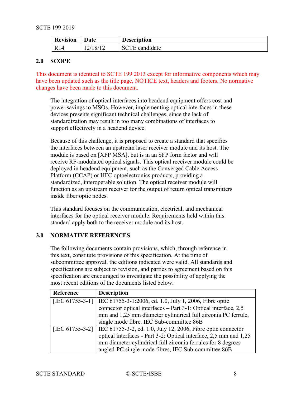| <b>Revision</b> | Date     | <b>Description</b>    |
|-----------------|----------|-----------------------|
| R14             | 12/18/12 | <b>SCTE</b> candidate |

# <span id="page-7-0"></span>**2.0 SCOPE**

This document is identical to SCTE 199 2013 except for informative components which may have been updated such as the title page, NOTICE text, headers and footers. No normative changes have been made to this document.

The integration of optical interfaces into headend equipment offers cost and power savings to MSOs. However, implementing optical interfaces in these devices presents significant technical challenges, since the lack of standardization may result in too many combinations of interfaces to support effectively in a headend device.

Because of this challenge, it is proposed to create a standard that specifies the interfaces between an upstream laser receiver module and its host. The module is based on [\[XFP MSA\],](#page-8-2) but is in an SFP form factor and will receive RF-modulated optical signals. This optical receiver module could be deployed in headend equipment, such as the Converged Cable Access Platform (CCAP) or HFC optoelectronics products, providing a standardized, interoperable solution. The optical receiver module will function as an upstream receiver for the output of return optical transmitters inside fiber optic nodes.

This standard focuses on the communication, electrical, and mechanical interfaces for the optical receiver module. Requirements held within this standard apply both to the receiver module and its host.

# <span id="page-7-1"></span>**3.0 NORMATIVE REFERENCES**

The following documents contain provisions, which, through reference in this text, constitute provisions of this specification. At the time of subcommittee approval, the editions indicated were valid. All standards and specifications are subject to revision, and parties to agreement based on this specification are encouraged to investigate the possibility of applying the most recent editions of the documents listed below.

<span id="page-7-3"></span><span id="page-7-2"></span>

| Reference          | <b>Description</b>                                                             |
|--------------------|--------------------------------------------------------------------------------|
| [IEC $61755-3-1$ ] | IEC 61755-3-1:2006, ed. 1.0, July 1, 2006, Fibre optic                         |
|                    | connector optical interfaces – Part 3-1: Optical interface, 2,5                |
|                    | mm and 1,25 mm diameter cylindrical full zirconia PC ferrule,                  |
|                    | single mode fibre. IEC Sub-committee 86B                                       |
|                    | [IEC 61755-3-2]   IEC 61755-3-2, ed. 1.0, July 12, 2006, Fibre optic connector |
|                    | optical interfaces - Part 3-2: Optical interface, 2,5 mm and 1,25              |
|                    | mm diameter cylindrical full zirconia ferrules for 8 degrees                   |
|                    | angled-PC single mode fibres, IEC Sub-committee 86B                            |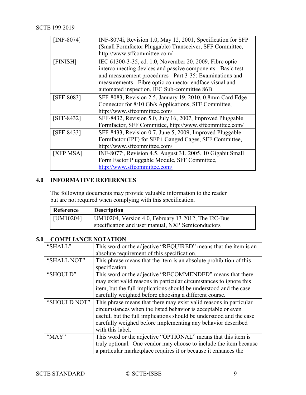<span id="page-8-8"></span><span id="page-8-7"></span><span id="page-8-4"></span>

| [INF-8074]   | INF-8074i, Revision 1.0, May 12, 2001, Specification for SFP |
|--------------|--------------------------------------------------------------|
|              | (Small Formfactor Pluggable) Transceiver, SFF Committee,     |
|              | http://www.sffcommittee.com/                                 |
| [FINISH]     | IEC 61300-3-35, ed. 1.0, November 20, 2009, Fibre optic      |
|              | interconnecting devices and passive components - Basic test  |
|              | and measurement procedures - Part 3-35: Examinations and     |
|              | measurements - Fibre optic connector endface visual and      |
|              | automated inspection, IEC Sub-committee 86B                  |
| $[SFF-8083]$ | SFF-8083, Revision 2.5, January 19, 2010, 0.8mm Card Edge    |
|              | Connector for 8/10 Gb/s Applications, SFF Committee,         |
|              | http://www.sffcommittee.com/                                 |
| $[SFF-8432]$ | SFF-8432, Revision 5.0, July 16, 2007, Improved Pluggable    |
|              | Formfactor, SFF Committee, http://www.sffcommittee.com/      |
| $[SFF-8433]$ | SFF-8433, Revision 0.7, June 5, 2009, Improved Pluggable     |
|              | Formfactor (IPF) for SFP+ Ganged Cages, SFF Committee,       |
|              | http://www.sffcommittee.com/                                 |
| [XFP MSA]    | INF-8077i, Revision 4.5, August 31, 2005, 10 Gigabit Small   |
|              | Form Factor Pluggable Module, SFF Committee,                 |
|              | http://www.sffcommittee.com/                                 |

# <span id="page-8-6"></span><span id="page-8-5"></span><span id="page-8-2"></span><span id="page-8-0"></span>**4.0 INFORMATIVE REFERENCES**

The following documents may provide valuable information to the reader but are not required when complying with this specification.

<span id="page-8-3"></span>

| Reference         | <b>Description</b>                                  |  |
|-------------------|-----------------------------------------------------|--|
| $\vert$ [UM10204] | UM10204, Version 4.0, February 13 2012, The I2C-Bus |  |
|                   | specification and user manual, NXP Semiconductors   |  |

# <span id="page-8-1"></span>**5.0 COMPLIANCE NOTATION**

| "SHALL"      | This word or the adjective "REQUIRED" means that the item is an     |
|--------------|---------------------------------------------------------------------|
|              | absolute requirement of this specification.                         |
| "SHALL NOT"  | This phrase means that the item is an absolute prohibition of this  |
|              | specification.                                                      |
| "SHOULD"     | This word or the adjective "RECOMMENDED" means that there           |
|              | may exist valid reasons in particular circumstances to ignore this  |
|              | item, but the full implications should be understood and the case   |
|              | carefully weighted before choosing a different course.              |
| "SHOULD NOT" | This phrase means that there may exist valid reasons in particular  |
|              | circumstances when the listed behavior is acceptable or even        |
|              | useful, but the full implications should be understood and the case |
|              | carefully weighed before implementing any behavior described        |
|              | with this label.                                                    |
| "MAY"        | This word or the adjective "OPTIONAL" means that this item is       |
|              | truly optional. One vendor may choose to include the item because   |
|              | a particular marketplace requires it or because it enhances the     |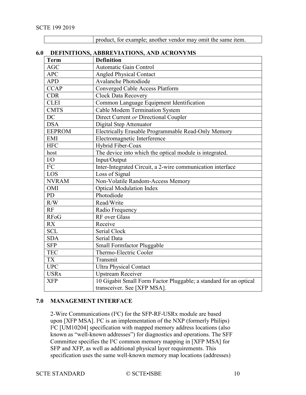| product, for example; another vendor may omit the same item. |
|--------------------------------------------------------------|
|                                                              |
|                                                              |
|                                                              |

# <span id="page-9-0"></span>**6.0 DEFINITIONS, ABBREVIATIONS, AND ACRONYMS**

| <b>Term</b>   | <b>Definition</b>                                                 |
|---------------|-------------------------------------------------------------------|
| AGC           | <b>Automatic Gain Control</b>                                     |
| <b>APC</b>    | <b>Angled Physical Contact</b>                                    |
| <b>APD</b>    | Avalanche Photodiode                                              |
| <b>CCAP</b>   | <b>Converged Cable Access Platform</b>                            |
| <b>CDR</b>    | <b>Clock Data Recovery</b>                                        |
| <b>CLEI</b>   | Common Language Equipment Identification                          |
| <b>CMTS</b>   | Cable Modem Termination System                                    |
| DC            | Direct Current or Directional Coupler                             |
| <b>DSA</b>    | Digital Step Attenuator                                           |
| <b>EEPROM</b> | Electrically Erasable Programmable Read-Only Memory               |
| <b>EMI</b>    | Electromagnetic Interference                                      |
| <b>HFC</b>    | Hybrid Fiber-Coax                                                 |
| host          | The device into which the optical module is integrated.           |
| $\rm I/O$     | Input/Output                                                      |
| $I^2C$        | Inter-Integrated Circuit, a 2-wire communication interface        |
| LOS           | Loss of Signal                                                    |
| <b>NVRAM</b>  | Non-Volatile Random-Access Memory                                 |
| OMI           | <b>Optical Modulation Index</b>                                   |
| <b>PD</b>     | Photodiode                                                        |
| R/W           | Read/Write                                                        |
| RF            | Radio Frequency                                                   |
| <b>RFoG</b>   | RF over Glass                                                     |
| <b>RX</b>     | Receive                                                           |
| <b>SCL</b>    | Serial Clock                                                      |
| <b>SDA</b>    | <b>Serial Data</b>                                                |
| <b>SFP</b>    | Small Formfactor Pluggable                                        |
| <b>TEC</b>    | Thermo-Electric Cooler                                            |
| <b>TX</b>     | Transmit                                                          |
| <b>UPC</b>    | <b>Ultra Physical Contact</b>                                     |
| <b>USRx</b>   | <b>Upstream Receiver</b>                                          |
| <b>XFP</b>    | 10 Gigabit Small Form Factor Pluggable; a standard for an optical |
|               | transceiver. See [XFP MSA].                                       |

#### <span id="page-9-1"></span>**7.0 MANAGEMENT INTERFACE**

2-Wire Communications (I²C) for the SFP-RF-USRx module are based upon [\[XFP MSA\].](#page-8-2) I²C is an implementation of the NXP (formerly Philips) I²C [\[UM10204\]](#page-8-3) specification with mapped memory address locations (also known as "well-known addresses") for diagnostics and operations. The SFF Committee specifies the I²C common memory mapping in [\[XFP MSA\]](#page-8-2) for SFP and XFP, as well as additional physical layer requirements. This specification uses the same well-known memory map locations (addresses)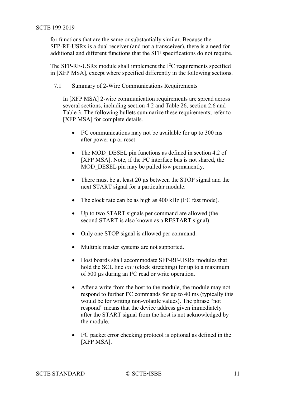<span id="page-10-1"></span>for functions that are the same or substantially similar. Because the SFP-RF-USRx is a dual receiver (and not a transceiver), there is a need for additional and different functions that the SFF specifications do not require.

The SFP-RF-USRx module shall implement the  $I<sup>2</sup>C$  requirements specified in [\[XFP MSA\],](#page-8-2) except where specified differently in the following sections.

<span id="page-10-0"></span>7.1 Summary of 2-Wire Communications Requirements

In [\[XFP MSA\]](#page-8-2) 2-wire communication requirements are spread across several sections, including section 4.2 and Table 26, section 2.6 and Table 3. The following bullets summarize these requirements; refer to [\[XFP MSA\]](#page-8-2) for complete details.

- I²C communications may not be available for up to 300 ms after power up or reset
- The MOD\_DESEL pin functions as defined in section 4.2 of [\[XFP MSA\].](#page-8-2) Note, if the I<sup>2</sup>C interface bus is not shared, the MOD\_DESEL pin may be pulled *low* permanently.
- There must be at least 20 µs between the STOP signal and the next START signal for a particular module.
- The clock rate can be as high as 400 kHz (I<sup>2</sup>C fast mode).
- Up to two START signals per command are allowed (the second START is also known as a RESTART signal).
- Only one STOP signal is allowed per command.
- Multiple master systems are not supported.
- Host boards shall accommodate SFP-RF-USRx modules that hold the SCL line *low* (clock stretching) for up to a maximum of 500 µs during an I²C read or write operation.
- After a write from the host to the module, the module may not respond to further I²C commands for up to 40 ms (typically this would be for writing non-volatile values). The phrase "not respond" means that the device address given immediately after the START signal from the host is not acknowledged by the module.
- I²C packet error checking protocol is optional as defined in the [\[XFP MSA\].](#page-8-2)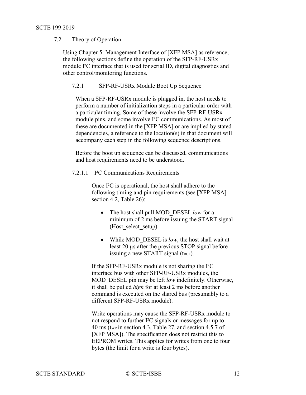# 7.2 Theory of Operation

Using Chapter 5: Management Interface of [\[XFP MSA\]](#page-8-2) as reference, the following sections define the operation of the SFP-RF-USRx module I²C interface that is used for serial ID, digital diagnostics and other control/monitoring functions.

## <span id="page-11-0"></span>7.2.1 SFP-RF-USRx Module Boot Up Sequence

When a SFP-RF-USRx module is plugged in, the host needs to perform a number of initialization steps in a particular order with a particular timing. Some of these involve the SFP-RF-USRx module pins, and some involve I²C communications. As most of these are documented in the [\[XFP MSA\]](#page-8-2) or are implied by stated dependencies, a reference to the location(s) in that document will accompany each step in the following sequence descriptions.

Before the boot up sequence can be discussed, communications and host requirements need to be understood.

## 7.2.1.1 I²C Communications Requirements

Once I²C is operational, the host shall adhere to the following timing and pin requirements (see [\[XFP MSA\]](#page-8-2) section 4.2, Table 26):

- The host shall pull MOD\_DESEL *low* for a minimum of 2 ms before issuing the START signal (Host select setup).
- While MOD\_DESEL is *low*, the host shall wait at least 20 µs after the previous STOP signal before issuing a new START signal (t<sub>BUF</sub>).

If the SFP-RF-USRx module is not sharing the I²C interface bus with other SFP-RF-USRx modules, the MOD\_DESEL pin may be left *low* indefinitely. Otherwise, it shall be pulled *high* for at least 2 ms before another command is executed on the shared bus (presumably to a different SFP-RF-USRx module).

Write operations may cause the SFP-RF-USRx module to not respond to further I²C signals or messages for up to 40 ms (tWR in section 4.3, Table 27, and section 4.5.7 of [\[XFP MSA\]\)](#page-8-2). The specification does not restrict this to EEPROM writes. This applies for writes from one to four bytes (the limit for a write is four bytes).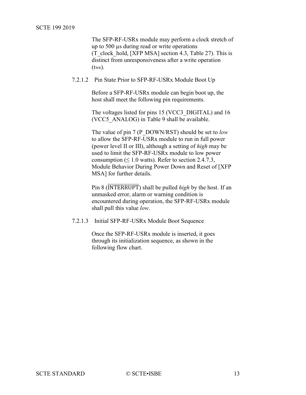The SFP-RF-USRx module may perform a clock stretch of up to 500 µs during read or write operations (T\_clock\_hold, [\[XFP MSA\]](#page-8-2) section 4.3, Table 27). This is distinct from unresponsiveness after a write operation (tWR).

#### 7.2.1.2 Pin State Prior to SFP-RF-USRx Module Boot Up

Before a SFP-RF-USRx module can begin boot up, the host shall meet the following pin requirements.

The voltages listed for pins 15 (VCC3\_DIGITAL) and 16 (VCC5\_ANALOG) in [Table 9](#page-37-0) shall be available.

The value of pin 7 (P\_DOWN/RST) should be set to *low* to allow the SFP-RF-USRx module to run in full power (power level II or III), although a setting of *high* may be used to limit the SFP-RF-USRx module to low power consumption ( $\leq 1.0$  watts). Refer to section 2.4.7.3, Module Behavior During Power Down and Reset of [\[XFP](#page-8-2)  [MSA\]](#page-8-2) for further details.

Pin 8 (INTERRUPT) shall be pulled *high* by the host. If an unmasked error, alarm or warning condition is encountered during operation, the SFP-RF-USRx module shall pull this value *low*.

7.2.1.3 Initial SFP-RF-USRx Module Boot Sequence

Once the SFP-RF-USRx module is inserted, it goes through its initialization sequence, as shown in the following flow chart.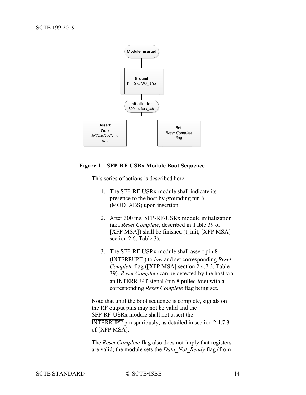

#### <span id="page-13-0"></span>**Figure 1 – SFP-RF-USRx Module Boot Sequence**

This series of actions is described here.

- 1. The SFP-RF-USRx module shall indicate its presence to the host by grounding pin 6 (MOD\_ABS) upon insertion.
- 2. After 300 ms, SFP-RF-USRx module initialization (aka *Reset Complete*, described in Table 39 of [\[XFP MSA\]\)](#page-8-2) shall be finished (t\_init, [\[XFP MSA\]](#page-8-2) section 2.6, Table 3).
- 3. The SFP-RF-USRx module shall assert pin 8 (INTERRUPT ) to *low* and set corresponding *Reset Complete* flag [\(\[XFP MSA\]](#page-8-2) section 2.4.7.3, Table 39). *Reset Complete* can be detected by the host via an INTERRUPT signal (pin 8 pulled *low*) with a corresponding *Reset Complete* flag being set.

Note that until the boot sequence is complete, signals on the RF output pins may not be valid and the SFP-RF-USRx module shall not assert the INTERRUPT pin spuriously, as detailed in section 2.4.7.3 of [\[XFP MSA\].](#page-8-2)

The *Reset Complete* flag also does not imply that registers are valid; the module sets the *Data\_Not\_Ready* flag (from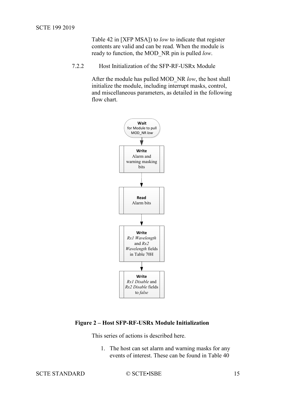Table 42 in [\[XFP MSA\]\)](#page-8-2) to *low* to indicate that register contents are valid and can be read. When the module is ready to function, the MOD\_NR pin is pulled *low*.

<span id="page-14-0"></span>7.2.2 Host Initialization of the SFP-RF-USRx Module

After the module has pulled MOD\_NR *low*, the host shall initialize the module, including interrupt masks, control, and miscellaneous parameters, as detailed in the following flow chart.



## <span id="page-14-1"></span>**Figure 2 – Host SFP-RF-USRx Module Initialization**

This series of actions is described here.

1. The host can set alarm and warning masks for any events of interest. These can be found in Table 40

SCTE STANDARD © SCTE•ISBE 15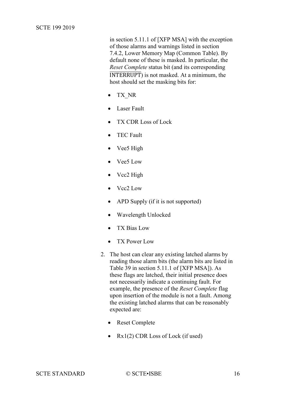in section 5.11.1 of [\[XFP MSA\]](#page-8-2) with the exception of those alarms and warnings listed in section [7.4.2, Lower Memory Map \(Common Table\).](#page-25-1) By default none of these is masked. In particular, the *Reset Complete* status bit (and its corresponding INTERRUPT) is not masked. At a minimum, the host should set the masking bits for:

- TX\_NR
- Laser Fault
- TX CDR Loss of Lock
- TEC Fault
- Vee5 High
- Vee5 Low
- Vcc<sub>2</sub> High
- Vcc2 Low
- APD Supply (if it is not supported)
- Wavelength Unlocked
- TX Bias Low
- TX Power Low
- 2. The host can clear any existing latched alarms by reading those alarm bits (the alarm bits are listed in Table 39 in section 5.11.1 of [\[XFP MSA\]\)](#page-8-2). As these flags are latched, their initial presence does not necessarily indicate a continuing fault. For example, the presence of the *Reset Complete* flag upon insertion of the module is not a fault. Among the existing latched alarms that can be reasonably expected are:
	- Reset Complete
	- Rx1(2) CDR Loss of Lock (if used)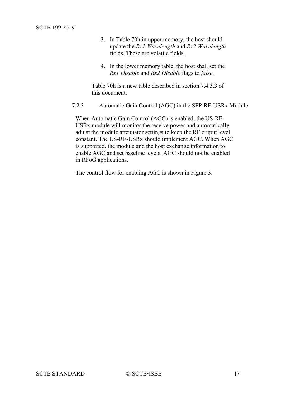- 3. In Table 70h in upper memory, the host should update the *Rx1 Wavelength* and *Rx2 Wavelength* fields. These are volatile fields.
- 4. In the lower memory table, the host shall set the *Rx1 Disable* and *Rx2 Disable* flags to *false*.

Table 70h is a new table described in section [7.4.3.3](#page-32-0) of this document.

<span id="page-16-0"></span>7.2.3 Automatic Gain Control (AGC) in the SFP-RF-USRx Module

When Automatic Gain Control (AGC) is enabled, the US-RF-USRx module will monitor the receive power and automatically adjust the module attenuator settings to keep the RF output level constant. The US-RF-USRx should implement AGC. When AGC is supported, the module and the host exchange information to enable AGC and set baseline levels. AGC should not be enabled in RFoG applications.

The control flow for enabling AGC is shown in [Figure 3.](#page-17-0)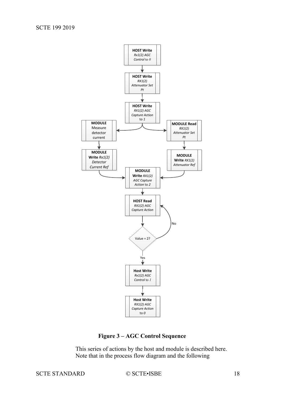

**Figure 3 – AGC Control Sequence**

This series of actions by the host and module is described here. Note that in the process flow diagram and the following

# <span id="page-17-0"></span>SCTE STANDARD © SCTE•ISBE 18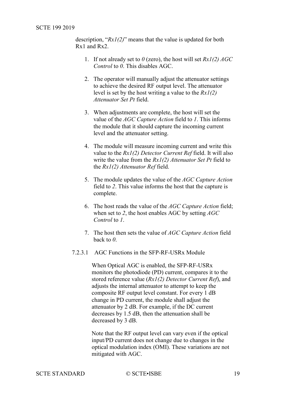description, "*Rx1(2)*" means that the value is updated for both Rx1 and Rx2.

- 1. If not already set to *0* (zero), the host will set *Rx1(2) AGC Control* to *0*. This disables AGC.
- 2. The operator will manually adjust the attenuator settings to achieve the desired RF output level. The attenuator level is set by the host writing a value to the *Rx1(2) Attenuator Set Pt* field.
- 3. When adjustments are complete, the host will set the value of the *AGC Capture Action* field to *1*. This informs the module that it should capture the incoming current level and the attenuator setting.
- 4. The module will measure incoming current and write this value to the *Rx1(2) Detector Current Ref* field. It will also write the value from the *Rx1(2) Attenuator Set Pt* field to the *Rx1(2) Attenuator Ref* field.
- 5. The module updates the value of the *AGC Capture Action* field to *2*. This value informs the host that the capture is complete.
- 6. The host reads the value of the *AGC Capture Action* field; when set to *2*, the host enables AGC by setting *AGC Control* to *1*.
- 7. The host then sets the value of *AGC Capture Action* field back to *0*.
- <span id="page-18-0"></span>7.2.3.1 AGC Functions in the SFP-RF-USRx Module

When Optical AGC is enabled, the SFP-RF-USRx monitors the photodiode (PD) current, compares it to the stored reference value (*Rx1(2) Detector Current Ref*), and adjusts the internal attenuator to attempt to keep the composite RF output level constant. For every 1 dB change in PD current, the module shall adjust the attenuator by 2 dB. For example, if the DC current decreases by 1.5 dB, then the attenuation shall be decreased by 3 dB.

Note that the RF output level can vary even if the optical input/PD current does not change due to changes in the optical modulation index (OMI). These variations are not mitigated with AGC.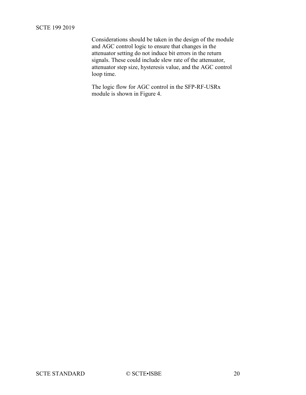## SCTE 199 2019

Considerations should be taken in the design of the module and AGC control logic to ensure that changes in the attenuator setting do not induce bit errors in the return signals. These could include slew rate of the attenuator, attenuator step size, hysteresis value, and the AGC control loop time.

The logic flow for AGC control in the SFP-RF-USRx module is shown in [Figure 4.](#page-20-0)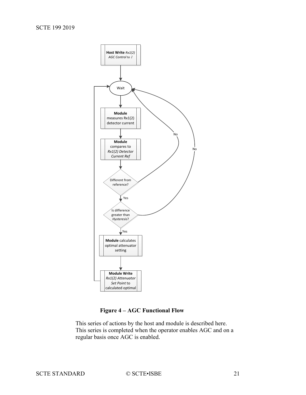

**Figure 4 – AGC Functional Flow**

<span id="page-20-0"></span>This series of actions by the host and module is described here. This series is completed when the operator enables AGC and on a regular basis once AGC is enabled.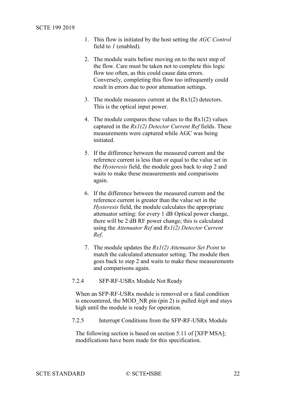- 1. This flow is initiated by the host setting the *AGC Control* field to *1* (enabled).
- 2. The module waits before moving on to the next step of the flow. Care must be taken not to complete this logic flow too often, as this could cause data errors. Conversely, completing this flow too infrequently could result in errors due to poor attenuation settings.
- 3. The module measures current at the Rx1(2) detectors. This is the optical input power.
- 4. The module compares these values to the Rx1(2) values captured in the *Rx1(2) Detector Current Ref* fields. These measurements were captured while AGC was being initiated.
- 5. If the difference between the measured current and the reference current is less than or equal to the value set in the *Hysteresis* field, the module goes back to step 2 and waits to make these measurements and comparisons again.
- 6. If the difference between the measured current and the reference current is greater than the value set in the *Hysteresis* field, the module calculates the appropriate attenuator setting: for every 1 dB Optical power change, there will be 2 dB RF power change; this is calculated using the *Attenuator Ref* and *Rx1(2) Detector Current Ref*.
- 7. The module updates the *Rx1(2) Attenuator Set Point* to match the calculated attenuator setting. The module then goes back to step 2 and waits to make these measurements and comparisons again.
- <span id="page-21-0"></span>7.2.4 SFP-RF-USRx Module Not Ready

When an SFP-RF-USRx module is removed or a fatal condition is encountered, the MOD\_NR pin (pin 2) is pulled *high* and stays high until the module is ready for operation.

<span id="page-21-1"></span>7.2.5 Interrupt Conditions from the SFP-RF-USRx Module

The following section is based on section 5.11 of [\[XFP MSA\];](#page-8-2) modifications have been made for this specification.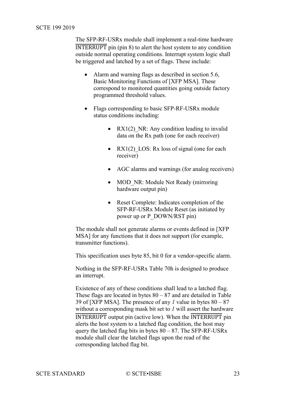The SFP-RF-USRx module shall implement a real-time hardware INTERRUPT pin (pin 8) to alert the host system to any condition outside normal operating conditions. Interrupt system logic shall be triggered and latched by a set of flags. These include:

- Alarm and warning flags as described in section 5.6, Basic Monitoring Functions of [\[XFP MSA\].](#page-8-2) These correspond to monitored quantities going outside factory programmed threshold values.
- Flags corresponding to basic SFP-RF-USRx module status conditions including:
	- RX1(2) NR: Any condition leading to invalid data on the Rx path (one for each receiver)
	- RX1(2) LOS: Rx loss of signal (one for each receiver)
	- AGC alarms and warnings (for analog receivers)
	- MOD NR: Module Not Ready (mirroring hardware output pin)
	- Reset Complete: Indicates completion of the SFP-RF-USRx Module Reset (as initiated by power up or P\_DOWN/RST pin)

The module shall not generate alarms or events defined in [\[XFP](#page-8-2)  [MSA\]](#page-8-2) for any functions that it does not support (for example, transmitter functions).

This specification uses byte 85, bit 0 for a vendor-specific alarm.

Nothing in the SFP-RF-USRx Table 70h is designed to produce an interrupt.

Existence of any of these conditions shall lead to a latched flag. These flags are located in bytes  $80 - 87$  and are detailed in Table 39 of [\[XFP MSA\].](#page-8-2) The presence of any *1* value in bytes 80 – 87 without a corresponding mask bit set to *1* will assert the hardware INTERRUPT output pin (active low). When the INTERRUPT pin alerts the host system to a latched flag condition, the host may query the latched flag bits in bytes  $80 - 87$ . The SFP-RF-USRx module shall clear the latched flags upon the read of the corresponding latched flag bit.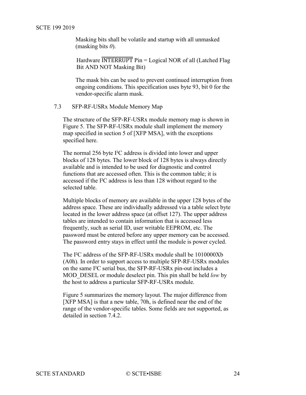Masking bits shall be volatile and startup with all unmasked (masking bits *0*).

Hardware  $\overline{\text{INTERRUPT}}$  Pin = Logical NOR of all (Latched Flag Bit AND NOT Masking Bit)

The mask bits can be used to prevent continued interruption from ongoing conditions. This specification uses byte 93, bit 0 for the vendor-specific alarm mask.

<span id="page-23-0"></span>7.3 SFP-RF-USRx Module Memory Map

The structure of the SFP-RF-USRx module memory map is shown in [Figure 5.](#page-24-1) The SFP-RF-USRx module shall implement the memory map specified in section 5 of [\[XFP MSA\],](#page-8-2) with the exceptions specified here.

The normal 256 byte I²C address is divided into lower and upper blocks of 128 bytes. The lower block of 128 bytes is always directly available and is intended to be used for diagnostic and control functions that are accessed often. This is the common table; it is accessed if the I²C address is less than 128 without regard to the selected table.

Multiple blocks of memory are available in the upper 128 bytes of the address space. These are individually addressed via a table select byte located in the lower address space (at offset 127). The upper address tables are intended to contain information that is accessed less frequently, such as serial ID, user writable EEPROM, etc. The password must be entered before any upper memory can be accessed. The password entry stays in effect until the module is power cycled.

The I²C address of the SFP-RF-USRx module shall be 1010000Xb (A0h). In order to support access to multiple SFP-RF-USRx modules on the same I²C serial bus, the SFP-RF-USRx pin-out includes a MOD\_DESEL or module deselect pin. This pin shall be held *low* by the host to address a particular SFP-RF-USRx module.

[Figure 5](#page-24-1) summarizes the memory layout. The major difference from [\[XFP MSA\]](#page-8-2) is that a new table, 70h, is defined near the end of the range of the vendor-specific tables. Some fields are not supported, as detailed in section [7.4.2.](#page-25-1)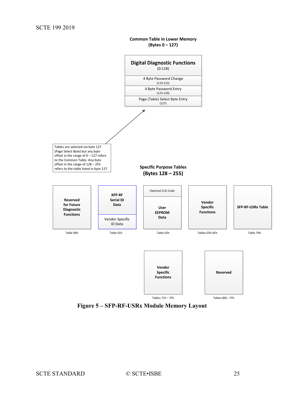**Common Table in Lower Memory (Bytes 0 – 127)**

<span id="page-24-0"></span>

<span id="page-24-1"></span>**Figure 5 – SFP-RF-USRx Module Memory Layout**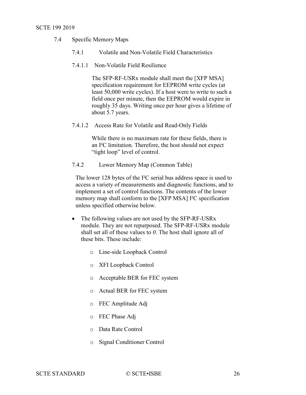#### <span id="page-25-0"></span>SCTE 199 2019

- 7.4 Specific Memory Maps
	- 7.4.1 Volatile and Non-Volatile Field Characteristics
	- 7.4.1.1 Non-Volatile Field Resilience

The SFP-RF-USRx module shall meet the [\[XFP MSA\]](#page-8-2) specification requirement for EEPROM write cycles (at least 50,000 write cycles). If a host were to write to such a field once per minute, then the EEPROM would expire in roughly 35 days. Writing once per hour gives a lifetime of about 5.7 years.

7.4.1.2 Access Rate for Volatile and Read-Only Fields

While there is no maximum rate for these fields, there is an I²C limitation. Therefore, the host should not expect "tight loop" level of control.

<span id="page-25-1"></span>7.4.2 Lower Memory Map (Common Table)

The lower 128 bytes of the I²C serial bus address space is used to access a variety of measurements and diagnostic functions, and to implement a set of control functions. The contents of the lower memory map shall conform to the [\[XFP MSA\]](#page-8-2) I²C specification unless specified otherwise below.

- The following values are not used by the SFP-RF-USRx module. They are not repurposed. The SFP-RF-USRx module shall set all of these values to *0*. The host shall ignore all of these bits. These include:
	- o Line-side Loopback Control
	- o XFI Loopback Control
	- o Acceptable BER for FEC system
	- o Actual BER for FEC system
	- o FEC Amplitude Adj
	- o FEC Phase Adj
	- o Data Rate Control
	- o Signal Conditioner Control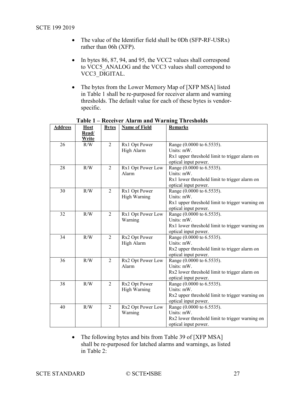- <span id="page-26-1"></span>• The value of the Identifier field shall be 0Dh (SFP-RF-USRx) rather than 06h (XFP).
- In bytes 86, 87, 94, and 95, the VCC2 values shall correspond to VCC5\_ANALOG and the VCC3 values shall correspond to VCC3\_DIGITAL.
- The bytes from the Lower Memory Map of [\[XFP MSA\]](#page-8-2) listed in [Table 1](#page-26-0) shall be re-purposed for receiver alarm and warning thresholds. The default value for each of these bytes is vendorspecific.

<span id="page-26-0"></span>

| <b>Address</b> | <b>Host</b> | <b>Bytes</b>   | <b>Name of Field</b> | <b>Remarks</b>                                  |
|----------------|-------------|----------------|----------------------|-------------------------------------------------|
|                | Read/       |                |                      |                                                 |
|                | Write       |                |                      |                                                 |
| 26             | R/W         | 2              | Rx1 Opt Power        | Range (0.0000 to 6.5535).                       |
|                |             |                | High Alarm           | Units: mW.                                      |
|                |             |                |                      | Rx1 upper threshold limit to trigger alarm on   |
|                |             |                |                      | optical input power.                            |
| 28             | R/W         | $\mathfrak{D}$ | Rx1 Opt Power Low    | Range (0.0000 to 6.5535).                       |
|                |             |                | Alarm                | Units: mW.                                      |
|                |             |                |                      | Rx1 lower threshold limit to trigger alarm on   |
|                |             |                |                      | optical input power.                            |
| 30             | R/W         | 2              | Rx1 Opt Power        | Range (0.0000 to 6.5535).                       |
|                |             |                | <b>High Warning</b>  | Units: mW.                                      |
|                |             |                |                      | Rx1 upper threshold limit to trigger warning on |
|                |             |                |                      | optical input power.                            |
| 32             | R/W         | 2              | Rx1 Opt Power Low    | Range (0.0000 to 6.5535).                       |
|                |             |                | Warning              | Units: mW.                                      |
|                |             |                |                      | Rx1 lower threshold limit to trigger warning on |
|                |             |                |                      | optical input power.                            |
| 34             | R/W         | 2              | Rx2 Opt Power        | Range (0.0000 to 6.5535).                       |
|                |             |                | High Alarm           | Units: mW.                                      |
|                |             |                |                      | Rx2 upper threshold limit to trigger alarm on   |
|                |             |                |                      | optical input power.                            |
| 36             | R/W         | $\overline{2}$ | Rx2 Opt Power Low    | Range (0.0000 to 6.5535).                       |
|                |             |                | Alarm                | Units: mW.                                      |
|                |             |                |                      | Rx2 lower threshold limit to trigger alarm on   |
|                |             |                |                      | optical input power.                            |
| 38             | R/W         | $\overline{2}$ | Rx2 Opt Power        | Range (0.0000 to 6.5535).                       |
|                |             |                | <b>High Warning</b>  | Units: mW.                                      |
|                |             |                |                      | Rx2 upper threshold limit to trigger warning on |
|                |             |                |                      | optical input power.                            |
| 40             | R/W         | $\overline{2}$ | Rx2 Opt Power Low    | Range (0.0000 to 6.5535).                       |
|                |             |                | Warning              | Units: mW.                                      |
|                |             |                |                      | Rx2 lower threshold limit to trigger warning on |
|                |             |                |                      | optical input power.                            |

**Table 1 – Receiver Alarm and Warning Thresholds**

• The following bytes and bits from Table 39 of [\[XFP MSA\]](#page-8-2) shall be re-purposed for latched alarms and warnings, as listed in [Table 2:](#page-26-1)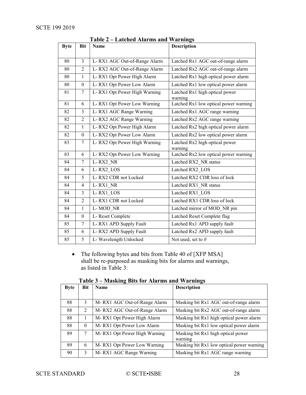| <b>Byte</b> | <b>Bit</b>       | Lattenca Thurms and<br><b>Name</b> | <b>Description</b>                        |
|-------------|------------------|------------------------------------|-------------------------------------------|
|             |                  |                                    |                                           |
| 80          | 3                | L-RX1 AGC Out-of-Range Alarm       | Latched Rx1 AGC out-of-range alarm        |
| 80          | $\overline{2}$   | L-RX2 AGC Out-of-Range Alarm       | Latched Rx2 AGC out-of-range alarm        |
| 80          | $\mathbf{1}$     | L-RX1 Opt Power High Alarm         | Latched Rx1 high optical power alarm      |
| 80          | $\theta$         | L-RX1 Opt Power Low Alarm          | Latched Rx1 low optical power alarm       |
| 81          | $\tau$           | L-RX1 Opt Power High Warning       | Latched Rx1 high optical power<br>warning |
| 81          | 6                | L-RX1 Opt Power Low Warning        | Latched Rx1 low optical power warning     |
| 82          | $\overline{3}$   | L-RX1 AGC Range Warning            | Latched Rx1 AGC range warning             |
| 82          | $\overline{2}$   | L-RX2 AGC Range Warning            | Latched Rx2 AGC range warning             |
| 82          | $\mathbf{1}$     | L-RX2 Opt Power High Alarm         | Latched Rx2 high optical power alarm      |
| 82          | $\boldsymbol{0}$ | L-RX2 Opt Power Low Alarm          | Latched Rx2 low optical power alarm       |
| 83          | $\overline{7}$   | L-RX2 Opt Power High Warning       | Latched Rx2 high optical power<br>warning |
| 83          | 6                | L-RX2 Opt Power Low Warning        | Latched Rx2 low optical power warning     |
| 84          | $\overline{7}$   | L-RX2 NR                           | Latched RX2 NR status                     |
| 84          | 6                | L-RX2 LOS                          | Latched RX2 LOS                           |
| 84          | 5                | L-RX2 CDR not Locked               | Latched RX2 CDR loss of lock              |
| 84          | 4                | L-RX1 NR                           | Latched RX1 NR status                     |
| 84          | $\overline{3}$   | L-RX1 LOS                          | Latched RX1 LOS                           |
| 84          | 2                | L-RX1 CDR not Locked               | Latched RX1 CDR loss of lock              |
| 84          | $\mathbf{1}$     | L-MOD NR                           | Latched mirror of MOD NR pin              |
| 84          | $\theta$         | L-Reset Complete                   | Latched Reset Complete flag               |
| 85          | $\overline{7}$   | L-RX1 APD Supply Fault             | Latched Rx1 APD supply fault              |
| 85          | 6                | L-RX2 APD Supply Fault             | Latched Rx2 APD supply fault              |
| 85          | 5                | L- Wavelength Unlocked             | Not used, set to $0$                      |

**Table 2 – Latched Alarms and Warnings**

• The following bytes and bits from Table 40 of [\[XFP MSA\]](#page-8-2) shall be re-purposed as masking bits for alarms and warnings, as listed in [Table 3:](#page-27-0)

<span id="page-27-0"></span>

| <b>Byte</b> | Bit            | Name                         | <b>Description</b>                        |
|-------------|----------------|------------------------------|-------------------------------------------|
|             |                |                              |                                           |
| 88          | 3              | M-RX1 AGC Out-of-Range Alarm | Masking bit Rx1 AGC out-of-range alarm    |
| 88          | $\mathfrak{D}$ | M-RX2 AGC Out-of-Range Alarm | Masking bit Rx2 AGC out-of-range alarm    |
| 88          |                | M-RX1 Opt Power High Alarm   | Masking bit Rx1 high optical power alarm  |
| 88          | $\Omega$       | M-RX1 Opt Power Low Alarm    | Masking bit Rx1 low optical power alarm   |
| 89          | 7              | M-RX1 Opt Power High Warning | Masking bit Rx1 high optical power        |
|             |                |                              | warning                                   |
| 89          | 6              | M-RX1 Opt Power Low Warning  | Masking bit Rx1 low optical power warning |
| 90          | 3              | M-RX1 AGC Range Warning      | Masking bit Rx1 AGC range warning         |

**Table 3 – Masking Bits for Alarms and Warnings**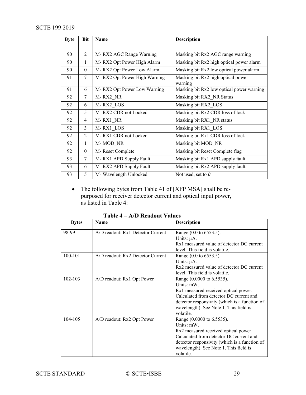| <b>Byte</b> | Bit            | <b>Name</b>                  | <b>Description</b>                        |
|-------------|----------------|------------------------------|-------------------------------------------|
|             |                |                              |                                           |
| 90          | $\overline{2}$ | M-RX2 AGC Range Warning      | Masking bit Rx2 AGC range warning         |
| 90          | 1              | M-RX2 Opt Power High Alarm   | Masking bit Rx2 high optical power alarm  |
| 90          | $\theta$       | M-RX2 Opt Power Low Alarm    | Masking bit Rx2 low optical power alarm   |
| 91          | 7              | M-RX2 Opt Power High Warning | Masking bit Rx2 high optical power        |
|             |                |                              | warning                                   |
| 91          | 6              | M-RX2 Opt Power Low Warning  | Masking bit Rx2 low optical power warning |
| 92          | 7              | M-RX2 NR                     | Masking bit RX2 NR Status                 |
| 92          | 6              | M-RX2 LOS                    | Masking bit RX2 LOS                       |
| 92          | 5              | M-RX2 CDR not Locked         | Masking bit Rx2 CDR loss of lock          |
| 92          | 4              | M-RX1 NR                     | Masking bit RX1 NR status                 |
| 92          | 3              | M-RX1 LOS                    | Masking bit RX1 LOS                       |
| 92          | 2              | M-RX1 CDR not Locked         | Masking bit Rx1 CDR loss of lock          |
| 92          | 1              | M-MOD NR                     | Masking bit MOD NR                        |
| 92          | $\Omega$       | M-Reset Complete             | Masking bit Reset Complete flag           |
| 93          | 7              | M-RX1 APD Supply Fault       | Masking bit Rx1 APD supply fault          |
| 93          | 6              | M-RX2 APD Supply Fault       | Masking bit Rx2 APD supply fault          |
| 93          | 5              | M- Wavelength Unlocked       | Not used, set to $\theta$                 |

• The following bytes from Table 41 of [\[XFP MSA\]](#page-8-2) shall be repurposed for receiver detector current and optical input power, as listed in [Table 4:](#page-28-0)

<span id="page-28-0"></span>

|              | $11D$ Reagont $\lambda$ and $\lambda$ |                                               |
|--------------|---------------------------------------|-----------------------------------------------|
| <b>Bytes</b> | Name                                  | <b>Description</b>                            |
| 98-99        | A/D readout: Rx1 Detector Current     | Range (0.0 to 6553.5).                        |
|              |                                       | Units: $\mu$ A.                               |
|              |                                       | Rx1 measured value of detector DC current     |
|              |                                       | level. This field is volatile.                |
| 100-101      | $A/D$ readout: $Rx2$ Detector Current | Range (0.0 to 6553.5).                        |
|              |                                       | Units: $\mu$ A.                               |
|              |                                       | Rx2 measured value of detector DC current     |
|              |                                       | level. This field is volatile.                |
| 102-103      | A/D readout: Rx1 Opt Power            | Range (0.0000 to 6.5535).                     |
|              |                                       | Units: mW.                                    |
|              |                                       | Rx1 measured received optical power.          |
|              |                                       | Calculated from detector DC current and       |
|              |                                       | detector responsivity (which is a function of |
|              |                                       | wavelength). See Note 1. This field is        |
|              |                                       | volatile.                                     |
| 104-105      | A/D readout: Rx2 Opt Power            | Range (0.0000 to 6.5535).                     |
|              |                                       | Units: mW.                                    |
|              |                                       | Rx2 measured received optical power.          |
|              |                                       | Calculated from detector DC current and       |
|              |                                       | detector responsivity (which is a function of |
|              |                                       | wavelength). See Note 1. This field is        |
|              |                                       | volatile.                                     |

**Table 4 – A/D Readout Values**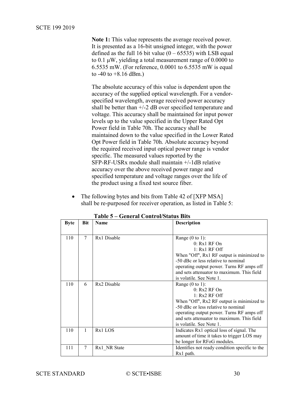#### SCTE 199 2019

**Note 1:** This value represents the average received power. It is presented as a 16-bit unsigned integer, with the power defined as the full 16 bit value  $(0 - 65535)$  with LSB equal to  $0.1 \mu W$ , yielding a total measurement range of  $0.0000$  to 6.5535 mW. (For reference, 0.0001 to 6.5535 mW is equal to  $-40$  to  $+8.16$  dBm.)

The absolute accuracy of this value is dependent upon the accuracy of the supplied optical wavelength. For a vendorspecified wavelength, average received power accuracy shall be better than +/-2 dB over specified temperature and voltage. This accuracy shall be maintained for input power levels up to the value specified in the Upper Rated Opt Power field in Table 70h. The accuracy shall be maintained down to the value specified in the Lower Rated Opt Power field in Table 70h. Absolute accuracy beyond the required received input optical power range is vendor specific. The measured values reported by the SFP-RF-USRx module shall maintain +/-1dB relative accuracy over the above received power range and specified temperature and voltage ranges over the life of the product using a fixed test source fiber.

The following bytes and bits from Table 42 of [\[XFP MSA\]](#page-8-2) shall be re-purposed for receiver operation, as listed in [Table 5:](#page-29-0)

<span id="page-29-0"></span>

| <b>Byte</b> | Bit | <b>Name</b>         | <b>Description</b>                                                     |
|-------------|-----|---------------------|------------------------------------------------------------------------|
|             |     |                     |                                                                        |
| 110         | 7   | Rx1 Disable         | Range $(0 \text{ to } 1)$ :                                            |
|             |     |                     | $0: Rx1$ RF $On$                                                       |
|             |     |                     | $1: Rx1$ RF Off                                                        |
|             |     |                     | When "Off", Rx1 RF output is minimized to                              |
|             |     |                     | -50 dBc or less relative to nominal                                    |
|             |     |                     | operating output power. Turns RF amps off                              |
|             |     |                     | and sets attenuator to maximum. This field                             |
|             |     |                     | is volatile. See Note 1.                                               |
| 110         | 6   | Rx2 Disable         | Range $(0 \text{ to } 1)$ :                                            |
|             |     |                     | $0: Rx2$ RF On                                                         |
|             |     |                     | $1: Rx2 RF$ Off                                                        |
|             |     |                     | When "Off", Rx2 RF output is minimized to                              |
|             |     |                     | -50 dBc or less relative to nominal                                    |
|             |     |                     | operating output power. Turns RF amps off                              |
|             |     |                     | and sets attenuator to maximum. This field<br>is volatile. See Note 1. |
| 110         | 1   | R <sub>x1</sub> LOS |                                                                        |
|             |     |                     | Indicates Rx1 optical loss of signal. The                              |
|             |     |                     | amount of time it takes to trigger LOS may                             |
| 111         | 7   |                     | be longer for RFoG modules.                                            |
|             |     | Rx1 NR State        | Identifies not ready condition specific to the<br>Rx1 path.            |
|             |     |                     |                                                                        |

**Table 5 – General Control/Status Bits**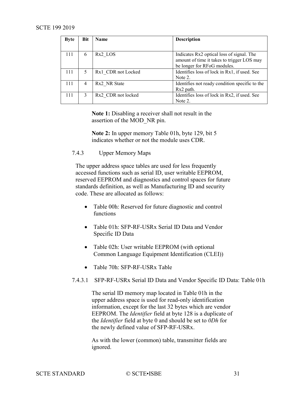| <b>Byte</b> | <b>Bit</b> | Name                 | <b>Description</b>                             |
|-------------|------------|----------------------|------------------------------------------------|
|             |            |                      |                                                |
| 111         | 6          | R <sub>x</sub> 2 LOS | Indicates Rx2 optical loss of signal. The      |
|             |            |                      | amount of time it takes to trigger LOS may     |
|             |            |                      | be longer for RFoG modules.                    |
| 111         |            | Rx1 CDR not Locked   | Identifies loss of lock in Rx1, if used. See   |
|             |            |                      | Note 2.                                        |
| 111         | 4          | Rx2 NR State         | Identifies not ready condition specific to the |
|             |            |                      | Rx2 path.                                      |
| 111         |            | Rx2 CDR not locked   | Identifies loss of lock in Rx2, if used. See   |
|             |            |                      | Note 2.                                        |

**Note 1:** Disabling a receiver shall not result in the assertion of the MOD\_NR pin.

**Note 2:** In upper memory Table 01h, byte 129, bit 5 indicates whether or not the module uses CDR.

<span id="page-30-0"></span>7.4.3 Upper Memory Maps

The upper address space tables are used for less frequently accessed functions such as serial ID, user writable EEPROM, reserved EEPROM and diagnostics and control spaces for future standards definition, as well as Manufacturing ID and security code. These are allocated as follows:

- Table 00h: Reserved for future diagnostic and control functions
- Table 01h: SFP-RF-USRx Serial ID Data and Vendor Specific ID Data
- Table 02h: User writable EEPROM (with optional Common Language Equipment Identification (CLEI))
- Table 70h: SFP-RF-USRx Table
- 7.4.3.1 SFP-RF-USRx Serial ID Data and Vendor Specific ID Data: Table 01h

The serial ID memory map located in Table 01h in the upper address space is used for read-only identification information, except for the last 32 bytes which are vendor EEPROM. The *Identifier* field at byte 128 is a duplicate of the *Identifier* field at byte 0 and should be set to *0Dh* for the newly defined value of SFP-RF-USRx.

As with the lower (common) table, transmitter fields are ignored.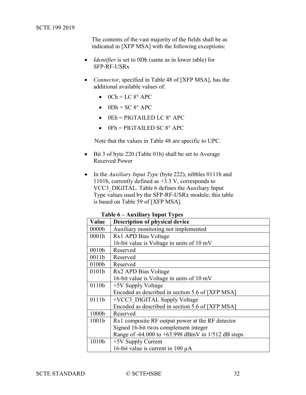The contents of the vast majority of the fields shall be as indicated in [\[XFP MSA\]](#page-8-2) with the following exceptions:

- *Identifier* is set to 0Dh (same as in lower table) for SFP-RF-USRx
- *Connector*, specified in Table 48 of [\[XFP MSA\],](#page-8-2) has the additional available values of:
	- $\bullet$  0Ch = LC 8° APC
	- $\bullet$  0Dh = SC 8° APC
	- $\bullet$  0Eh = PIGTAILED LC 8° APC
	- $0$ Fh = PIGTAILED SC  $8^\circ$  APC

Note that the values in Table 48 are specific to UPC.

- Bit 3 of byte 220 (Table 01h) shall be set to Average Received Power
- In the *Auxiliary Input Type* (byte 222), nibbles 0111b and 1101b, currently defined as +3.3 V, corresponds to VCC3\_DIGITAL. [Table 6](#page-31-0) defines the Auxiliary Input Type values used by the SFP-RF-USRx module; this table is based on Table 59 of [\[XFP MSA\].](#page-8-2)

**Table 6 – Auxiliary Input Types**

<span id="page-31-0"></span>

| Value             | <b>Description of physical device</b>                |
|-------------------|------------------------------------------------------|
| 0000 <sub>b</sub> | Auxiliary monitoring not implemented                 |
| 0001 <sub>b</sub> | Rx1 APD Bias Voltage                                 |
|                   | 16-bit value is Voltage in units of 10 mV            |
| 0010 <sub>b</sub> | Reserved                                             |
| 0011b             | Reserved                                             |
| 0100b             | Reserved                                             |
| 0101b             | Rx2 APD Bias Voltage                                 |
|                   | 16-bit value is Voltage in units of 10 mV            |
| 0110b             | +5V Supply Voltage                                   |
|                   | Encoded as described in section 5.6 of [XFP MSA]     |
| 0111b             | +VCC3 DIGITAL Supply Voltage                         |
|                   | Encoded as described in section 5.6 of [XFP MSA]     |
| 1000b             | Reserved                                             |
| 1001 <sub>b</sub> | Rx1 composite RF output power at the RF detector     |
|                   | Signed 16-bit twos complement integer                |
|                   | Range of -64.000 to +63.998 dBmV in $1/512$ dB steps |
| 1010b             | $+5V$ Supply Current                                 |
|                   | 16-bit value is current in 100 $\mu$ A               |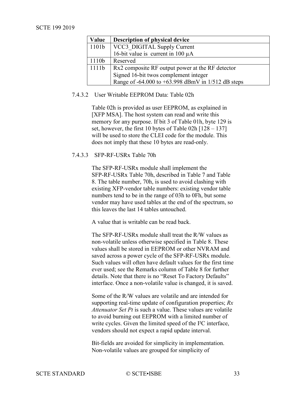#### SCTE 199 2019

| Value             | Description of physical device                       |
|-------------------|------------------------------------------------------|
| 1101 <sub>b</sub> | VCC3 DIGITAL Supply Current                          |
|                   | 16-bit value is current in 100 $\mu$ A               |
| 1110b             | Reserved                                             |
| 1111b             | Rx2 composite RF output power at the RF detector     |
|                   | Signed 16-bit twos complement integer                |
|                   | Range of -64.000 to +63.998 dBmV in $1/512$ dB steps |

#### 7.4.3.2 User Writable EEPROM Data: Table 02h

Table 02h is provided as user EEPROM, as explained in [\[XFP MSA\].](#page-8-2) The host system can read and write this memory for any purpose. If bit 3 of Table 01h, byte 129 is set, however, the first 10 bytes of Table 02h  $[128 - 137]$ will be used to store the CLEI code for the module. This does not imply that these 10 bytes are read-only.

#### <span id="page-32-0"></span>7.4.3.3 SFP-RF-USRx Table 70h

The SFP-RF-USRx module shall implement the SFP-RF-USRx Table 70h, described in [Table 7](#page-33-0) and [Table](#page-34-0)  [8.](#page-34-0) The table number, 70h, is used to avoid clashing with existing XFP-vendor table numbers: existing vendor table numbers tend to be in the range of 03h to 0Fh, but some vendor may have used tables at the end of the spectrum, so this leaves the last 14 tables untouched.

A value that is writable can be read back.

The SFP-RF-USRx module shall treat the R/W values as non-volatile unless otherwise specified in [Table 8.](#page-34-0) These values shall be stored in EEPROM or other NVRAM and saved across a power cycle of the SFP-RF-USRx module. Such values will often have default values for the first time ever used; see the Remarks column of [Table 8](#page-34-0) for further details. Note that there is no "Reset To Factory Defaults" interface. Once a non-volatile value is changed, it is saved.

Some of the R/W values are volatile and are intended for supporting real-time update of configuration properties; *Rx Attenuator Set Pt* is such a value. These values are volatile to avoid burning out EEPROM with a limited number of write cycles. Given the limited speed of the I²C interface, vendors should not expect a rapid update interval.

Bit-fields are avoided for simplicity in implementation. Non-volatile values are grouped for simplicity of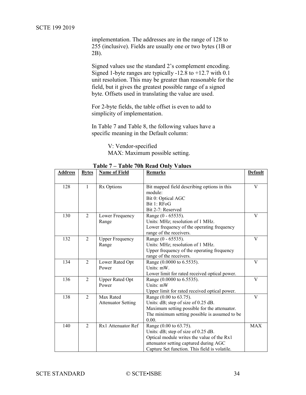implementation. The addresses are in the range of 128 to 255 (inclusive). Fields are usually one or two bytes (1B or 2B).

Signed values use the standard 2's complement encoding. Signed 1-byte ranges are typically -12.8 to +12.7 with  $0.1$ unit resolution. This may be greater than reasonable for the field, but it gives the greatest possible range of a signed byte. Offsets used in translating the value are used.

For 2-byte fields, the table offset is even to add to simplicity of implementation.

In [Table 7](#page-33-0) and [Table 8,](#page-34-0) the following values have a specific meaning in the Default column:

> V: Vendor-specified MAX: Maximum possible setting.

<span id="page-33-0"></span>

| <b>Address</b> | <b>Bytes</b>   | <b>Name of Field</b>      | <b>Remarks</b>                                | <b>Default</b> |
|----------------|----------------|---------------------------|-----------------------------------------------|----------------|
|                |                |                           |                                               |                |
| 128            | 1              | Rx Options                | Bit mapped field describing options in this   | V              |
|                |                |                           | module:                                       |                |
|                |                |                           | Bit 0: Optical AGC                            |                |
|                |                |                           | Bit 1: RFoG                                   |                |
|                |                |                           | Bit 2-7: Reserved                             |                |
| 130            | 2              | Lower Frequency           | Range (0 - 65535).                            | V              |
|                |                | Range                     | Units: MHz; resolution of 1 MHz.              |                |
|                |                |                           | Lower frequency of the operating frequency    |                |
|                |                |                           | range of the receivers.                       |                |
| 132            | 2              | <b>Upper Frequency</b>    | Range (0 - 65535).                            | V              |
|                |                | Range                     | Units: MHz; resolution of 1 MHz.              |                |
|                |                |                           | Upper frequency of the operating frequency    |                |
|                |                |                           | range of the receivers.                       |                |
| 134            | $\overline{2}$ | Lower Rated Opt           | Range (0.0000 to 6.5535).                     | V              |
|                |                | Power                     | Units: mW.                                    |                |
|                |                |                           | Lower limit for rated received optical power. |                |
| 136            | $\overline{2}$ | <b>Upper Rated Opt</b>    | Range (0.0000 to 6.5535).                     | V              |
|                |                | Power                     | Units: mW                                     |                |
|                |                |                           | Upper limit for rated received optical power. |                |
| 138            | 2              | Max Rated                 | Range (0.00 to 63.75).                        | V              |
|                |                | <b>Attenuator Setting</b> | Units: dB; step of size of 0.25 dB.           |                |
|                |                |                           | Maximum setting possible for the attenuator.  |                |
|                |                |                           | The minimum setting possible is assumed to be |                |
|                |                |                           | 0.00.                                         |                |
| 140            | $\overline{2}$ | Rx1 Attenuator Ref        | Range (0.00 to 63.75).                        | <b>MAX</b>     |
|                |                |                           | Units: dB; step of size of 0.25 dB.           |                |
|                |                |                           | Optical module writes the value of the Rx1    |                |
|                |                |                           | attenuator setting captured during AGC        |                |
|                |                |                           | Capture Set function. This field is volatile. |                |

**Table 7 – Table 70h Read Only Values**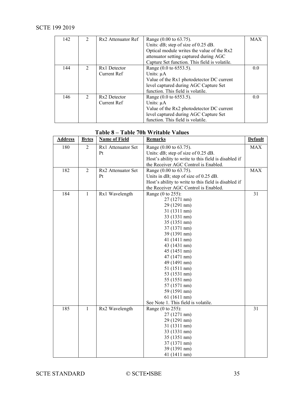| 142 | $\mathcal{L}$ | Rx <sub>2</sub> Attenuator Ref | Range (0.00 to 63.75).                        | <b>MAX</b> |
|-----|---------------|--------------------------------|-----------------------------------------------|------------|
|     |               |                                | Units: dB; step of size of 0.25 dB.           |            |
|     |               |                                | Optical module writes the value of the Rx2    |            |
|     |               |                                | attenuator setting captured during AGC        |            |
|     |               |                                | Capture Set function. This field is volatile. |            |
| 144 | $2^{\circ}$   | Rx1 Detector                   | Range (0.0 to 6553.5).                        | 0.0        |
|     |               | Current Ref                    | Units: $\mu A$                                |            |
|     |               |                                | Value of the Rx1 photodetector DC current     |            |
|     |               |                                | level captured during AGC Capture Set         |            |
|     |               |                                | function. This field is volatile.             |            |
| 146 | $\mathcal{D}$ | Rx2 Detector                   | Range (0.0 to 6553.5).                        | 0.0        |
|     |               | Current Ref                    | Units: $\mu A$                                |            |
|     |               |                                | Value of the Rx2 photodetector DC current     |            |
|     |               |                                | level captured during AGC Capture Set         |            |
|     |               |                                | function. This field is volatile.             |            |

<span id="page-34-0"></span>

| <b>Address</b> | <b>Bytes</b>   | <b>Name of Field</b> | <b>Remarks</b>                                       | <b>Default</b> |
|----------------|----------------|----------------------|------------------------------------------------------|----------------|
| 180            | $\overline{2}$ | Rx1 Attenuator Set   | Range (0.00 to 63.75).                               | <b>MAX</b>     |
|                |                | Pt                   | Units: dB; step of size of 0.25 dB.                  |                |
|                |                |                      | Host's ability to write to this field is disabled if |                |
|                |                |                      | the Receiver AGC Control is Enabled.                 |                |
| 182            | $\overline{2}$ | Rx2 Attenuator Set   | Range (0.00 to 63.75).                               | <b>MAX</b>     |
|                |                | Pt                   | Units in dB; step of size of 0.25 dB.                |                |
|                |                |                      | Host's ability to write to this field is disabled if |                |
|                |                |                      | the Receiver AGC Control is Enabled.                 |                |
| 184            | $\mathbf{1}$   | Rx1 Wavelength       | Range (0 to 255):                                    | 31             |
|                |                |                      | 27 (1271 nm)                                         |                |
|                |                |                      | 29 (1291 nm)                                         |                |
|                |                |                      | 31 (1311 nm)                                         |                |
|                |                |                      | 33 (1331 nm)                                         |                |
|                |                |                      | 35 (1351 nm)                                         |                |
|                |                |                      | 37 (1371 nm)                                         |                |
|                |                |                      | 39 (1391 nm)                                         |                |
|                |                |                      | 41 (1411 nm)                                         |                |
|                |                |                      | 43 (1431 nm)                                         |                |
|                |                |                      | 45 (1451 nm)                                         |                |
|                |                |                      | 47 (1471 nm)                                         |                |
|                |                |                      | 49 (1491 nm)                                         |                |
|                |                |                      | 51 (1511 nm)                                         |                |
|                |                |                      | 53 (1531 nm)                                         |                |
|                |                |                      | 55 (1551 nm)                                         |                |
|                |                |                      | 57 (1571 nm)                                         |                |
|                |                |                      | 59 (1591 nm)                                         |                |
|                |                |                      | 61 (1611 nm)                                         |                |
|                |                |                      | See Note 1. This field is volatile.                  | 31             |
| 185            | $\mathbf{1}$   | Rx2 Wavelength       | Range (0 to 255):                                    |                |
|                |                |                      | 27 (1271 nm)                                         |                |
|                |                |                      | 29 (1291 nm)                                         |                |
|                |                |                      | 31 (1311 nm)                                         |                |
|                |                |                      | 33 (1331 nm)                                         |                |
|                |                |                      | 35 (1351 nm)<br>37 (1371 nm)                         |                |
|                |                |                      | 39 (1391 nm)                                         |                |
|                |                |                      |                                                      |                |
|                |                |                      | 41 (1411 nm)                                         |                |

# **Table 8 – Table 70h Writable Values**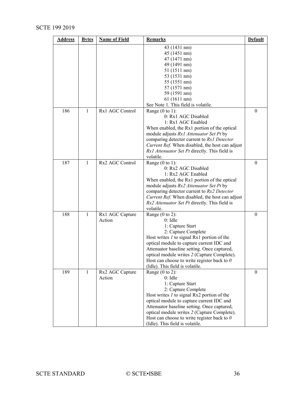# SCTE 199 2019

| <b>Address</b> | <b>Bytes</b> | <b>Name of Field</b> | <b>Remarks</b>                                    | <b>Default</b> |
|----------------|--------------|----------------------|---------------------------------------------------|----------------|
|                |              |                      | 43 (1431 nm)                                      |                |
|                |              |                      | 45 (1451 nm)                                      |                |
|                |              |                      | 47 (1471 nm)                                      |                |
|                |              |                      | 49 (1491 nm)                                      |                |
|                |              |                      | 51 (1511 nm)                                      |                |
|                |              |                      | 53 (1531 nm)                                      |                |
|                |              |                      | 55 (1551 nm)                                      |                |
|                |              |                      | 57 (1571 nm)                                      |                |
|                |              |                      | 59 (1591 nm)                                      |                |
|                |              |                      | 61 (1611 nm)                                      |                |
|                |              |                      | See Note 1. This field is volatile.               |                |
| 186            | 1            | Rx1 AGC Control      | Range $(0 \text{ to } 1)$ :                       | $\Omega$       |
|                |              |                      | 0: Rx1 AGC Disabled                               |                |
|                |              |                      | 1: Rx1 AGC Enabled                                |                |
|                |              |                      | When enabled, the Rx1 portion of the optical      |                |
|                |              |                      | module adjusts Rx1 Attenuator Set Pt by           |                |
|                |              |                      | comparing detector current to Rx1 Detector        |                |
|                |              |                      | Current Ref. When disabled, the host can adjust   |                |
|                |              |                      | Rx1 Attenuator Set Pt directly. This field is     |                |
|                |              |                      | volatile.                                         |                |
| 187            | $\mathbf{1}$ | Rx2 AGC Control      | Range $(0 \text{ to } 1)$ :                       | 0              |
|                |              |                      | 0: Rx2 AGC Disabled                               |                |
|                |              |                      | 1: Rx2 AGC Enabled                                |                |
|                |              |                      | When enabled, the Rx1 portion of the optical      |                |
|                |              |                      | module adjusts Rx2 Attenuator Set Pt by           |                |
|                |              |                      | comparing detector current to Rx2 Detector        |                |
|                |              |                      | Current Ref. When disabled, the host can adjust   |                |
|                |              |                      | Rx2 Attenuator Set Pt directly. This field is     |                |
|                |              |                      | volatile.                                         |                |
| 188            | $\mathbf{1}$ | Rx1 AGC Capture      | Range $(0 \text{ to } 2)$ :                       | $\theta$       |
|                |              | Action               | $0:$ Idle                                         |                |
|                |              |                      | 1: Capture Start                                  |                |
|                |              |                      | 2: Capture Complete                               |                |
|                |              |                      | Host writes <i>l</i> to signal Rx1 portion of the |                |
|                |              |                      | optical module to capture current IDC and         |                |
|                |              |                      | Attenuator baseline setting. Once captured,       |                |
|                |              |                      | optical module writes 2 (Capture Complete).       |                |
|                |              |                      | Host can choose to write register back to $0$     |                |
|                |              |                      | (Idle). This field is volatile.                   |                |
| 189            | $\mathbf{1}$ | Rx2 AGC Capture      | Range $(0 \text{ to } 2)$ :                       | $\theta$       |
|                |              | Action               | $0:$ Idle                                         |                |
|                |              |                      | 1: Capture Start                                  |                |
|                |              |                      | 2: Capture Complete                               |                |
|                |              |                      | Host writes $I$ to signal Rx2 portion of the      |                |
|                |              |                      | optical module to capture current IDC and         |                |
|                |              |                      | Attenuator baseline setting. Once captured,       |                |
|                |              |                      | optical module writes 2 (Capture Complete).       |                |
|                |              |                      | Host can choose to write register back to $0$     |                |
|                |              |                      | (Idle). This field is volatile.                   |                |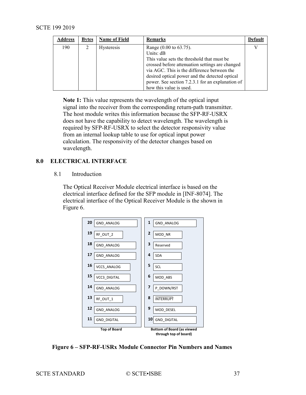<span id="page-36-2"></span>

| <b>Address</b> | <b>Bytes</b> | <b>Name of Field</b> | <b>Remarks</b>                                                                                                                                                                                                                                                                                                       | Default |
|----------------|--------------|----------------------|----------------------------------------------------------------------------------------------------------------------------------------------------------------------------------------------------------------------------------------------------------------------------------------------------------------------|---------|
| 190            |              | <b>Hysteresis</b>    | Range (0.00 to 63.75).<br>Units: dB<br>This value sets the threshold that must be<br>crossed before attenuation settings are changed<br>via AGC. This is the difference between the<br>desired optical power and the detected optical<br>power. See section 7.2.3.1 for an explanation of<br>how this value is used. |         |

**Note 1:** This value represents the wavelength of the optical input signal into the receiver from the corresponding return-path transmitter. The host module writes this information because the SFP-RF-USRX does not have the capability to detect wavelength. The wavelength is required by SFP-RF-USRX to select the detector responsivity value from an internal lookup table to use for optical input power calculation. The responsivity of the detector changes based on wavelength.

# <span id="page-36-1"></span><span id="page-36-0"></span>**8.0 ELECTRICAL INTERFACE**

#### 8.1 Introduction

The Optical Receiver Module electrical interface is based on the electrical interface defined for the SFP module in [\[INF-8074\].](#page-8-4) The electrical interface of the Optical Receiver Module is the shown in [Figure 6.](#page-36-3)



<span id="page-36-3"></span>**Figure 6 – SFP-RF-USRx Module Connector Pin Numbers and Names**

SCTE STANDARD © SCTE•ISBE 37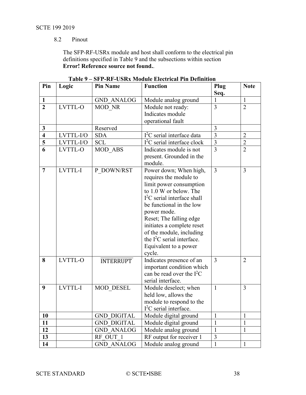## SCTE 199 2019

# 8.2 Pinout

The SFP-RF-USRx module and host shall conform to the electrical pin definitions specified in [Table 9](#page-37-0) and the subsections within section **Error! Reference source not found.**.

<span id="page-37-0"></span>

| Pin                     | Logic          | <b>Pin Name</b>    | <b>Function</b>              | Plug           | <b>Note</b>    |
|-------------------------|----------------|--------------------|------------------------------|----------------|----------------|
|                         |                |                    |                              | Seq.           |                |
| 1                       |                | <b>GND ANALOG</b>  | Module analog ground         | 1              | $\mathbf{1}$   |
| $\overline{2}$          | <b>LVTTL-O</b> | MOD NR             | Module not ready:            | $\overline{3}$ | $\overline{2}$ |
|                         |                |                    | Indicates module             |                |                |
|                         |                |                    | operational fault            |                |                |
| $\mathbf{3}$            |                | Reserved           |                              | 3              |                |
| $\overline{\mathbf{4}}$ | LVTTL-I/O      | <b>SDA</b>         | $I2C$ serial interface data  | 3              | $\overline{2}$ |
| 5                       | LVTTL-I/O      | <b>SCL</b>         | $I2C$ serial interface clock | $\overline{3}$ | $\overline{2}$ |
| 6                       | LVTTL-O        | MOD ABS            | Indicates module is not      | 3              | $\overline{2}$ |
|                         |                |                    | present. Grounded in the     |                |                |
|                         |                |                    | module.                      |                |                |
| $\overline{7}$          | LVTTL-I        | P DOWN/RST         | Power down; When high,       | $\overline{3}$ | $\overline{3}$ |
|                         |                |                    | requires the module to       |                |                |
|                         |                |                    | limit power consumption      |                |                |
|                         |                |                    | to 1.0 W or below. The       |                |                |
|                         |                |                    | $I2C$ serial interface shall |                |                |
|                         |                |                    | be functional in the low     |                |                |
|                         |                |                    | power mode.                  |                |                |
|                         |                |                    | Reset; The falling edge      |                |                |
|                         |                |                    | initiates a complete reset   |                |                |
|                         |                |                    | of the module, including     |                |                |
|                         |                |                    | the $I^2C$ serial interface. |                |                |
|                         |                |                    | Equivalent to a power        |                |                |
|                         |                |                    | cycle.                       |                |                |
| 8                       | LVTTL-O        | <b>INTERRUPT</b>   | Indicates presence of an     | 3              | $\overline{2}$ |
|                         |                |                    | important condition which    |                |                |
|                         |                |                    | can be read over the $I2C$   |                |                |
|                         |                |                    | serial interface.            |                |                |
| 9                       | LVTTL-I        | <b>MOD DESEL</b>   | Module deselect; when        | $\mathbf{1}$   | 3              |
|                         |                |                    | held low, allows the         |                |                |
|                         |                |                    | module to respond to the     |                |                |
|                         |                |                    | $I2C$ serial interface.      |                |                |
| 10                      |                | <b>GND DIGITAL</b> | Module digital ground        | $\mathbf{1}$   | $\mathbf{1}$   |
| 11                      |                | <b>GND DIGITAL</b> | Module digital ground        | $\mathbf{1}$   | $\mathbf{1}$   |
| 12                      |                | <b>GND ANALOG</b>  | Module analog ground         | 1              | $\mathbf{1}$   |
| 13                      |                | RF OUT 1           | RF output for receiver 1     | $\mathfrak{Z}$ |                |
| 14                      |                | <b>GND ANALOG</b>  | Module analog ground         | $\mathbf{1}$   | $\mathbf{1}$   |

**Table 9 – SFP-RF-USRx Module Electrical Pin Definition**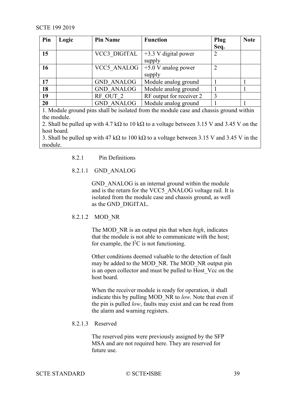| Pin | Logic | <b>Pin Name</b>   | <b>Function</b>          | Plug | <b>Note</b> |
|-----|-------|-------------------|--------------------------|------|-------------|
|     |       |                   |                          | Seq. |             |
| 15  |       | VCC3 DIGITAL      | $+3.3$ V digital power   | 2    |             |
|     |       |                   | supply                   |      |             |
| 16  |       | VCC5 ANALOG       | $+5.0$ V analog power    |      |             |
|     |       |                   | supply                   |      |             |
| 17  |       | <b>GND ANALOG</b> | Module analog ground     |      |             |
| 18  |       | <b>GND ANALOG</b> | Module analog ground     |      |             |
| 19  |       | RF OUT 2          | RF output for receiver 2 | 3    |             |
| 20  |       | <b>GND ANALOG</b> | Module analog ground     |      |             |

1. Module ground pins shall be isolated from the module case and chassis ground within the module.

2. Shall be pulled up with 4.7 kΩ to 10 kΩ to a voltage between 3.15 V and 3.45 V on the host board.

<span id="page-38-0"></span>3. Shall be pulled up with 47 kΩ to 100 kΩ to a voltage between 3.15 V and 3.45 V in the module.

# 8.2.1 Pin Definitions

# 8.2.1.1 GND\_ANALOG

GND ANALOG is an internal ground within the module and is the return for the VCC5 ANALOG voltage rail. It is isolated from the module case and chassis ground, as well as the GND\_DIGITAL.

# 8.2.1.2 MOD\_NR

The MOD\_NR is an output pin that when *high*, indicates that the module is not able to communicate with the host; for example, the  $I<sup>2</sup>C$  is not functioning.

Other conditions deemed valuable to the detection of fault may be added to the MOD\_NR. The MOD\_NR output pin is an open collector and must be pulled to Host\_Vcc on the host board.

When the receiver module is ready for operation, it shall indicate this by pulling MOD\_NR to *low*. Note that even if the pin is pulled *low*, faults may exist and can be read from the alarm and warning registers.

# 8.2.1.3 Reserved

The reserved pins were previously assigned by the SFP MSA and are not required here. They are reserved for future use.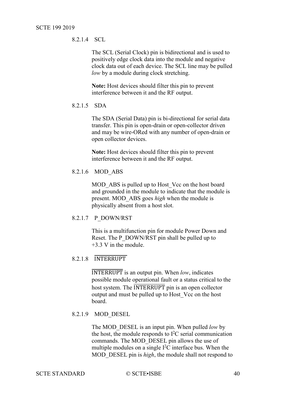8.2.1.4 SCL

The SCL (Serial Clock) pin is bidirectional and is used to positively edge clock data into the module and negative clock data out of each device. The SCL line may be pulled *low* by a module during clock stretching.

**Note:** Host devices should filter this pin to prevent interference between it and the RF output.

8.2.1.5 SDA

The SDA (Serial Data) pin is bi-directional for serial data transfer. This pin is open-drain or open-collector driven and may be wire-ORed with any number of open-drain or open collector devices.

**Note:** Host devices should filter this pin to prevent interference between it and the RF output.

8.2.1.6 MOD\_ABS

MOD ABS is pulled up to Host Vcc on the host board and grounded in the module to indicate that the module is present. MOD\_ABS goes *high* when the module is physically absent from a host slot.

#### 8.2.1.7 P\_DOWN/RST

This is a multifunction pin for module Power Down and Reset. The P\_DOWN/RST pin shall be pulled up to +3.3 V in the module.

# 8.2.1.8 INTERRUPT

INTERRUPT is an output pin. When *low*, indicates possible module operational fault or a status critical to the host system. The **INTERRUPT** pin is an open collector output and must be pulled up to Host\_Vcc on the host board.

#### 8.2.1.9 MOD\_DESEL

The MOD\_DESEL is an input pin. When pulled *low* by the host, the module responds to  $I^2C$  serial communication commands. The MOD\_DESEL pin allows the use of multiple modules on a single  $I^2C$  interface bus. When the MOD DESEL pin is *high*, the module shall not respond to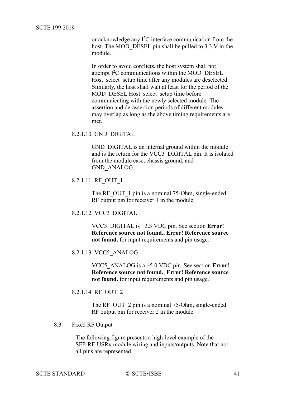SCTE 199 2019

or acknowledge any  $I^2C$  interface communication from the host. The MOD DESEL pin shall be pulled to 3.3 V in the module.

In order to avoid conflicts, the host system shall not attempt I<sup>2</sup>C communications within the MOD\_DESEL Host select setup time after any modules are deselected. Similarly, the host shall wait at least for the period of the MOD\_DESEL Host\_select\_setup time before communicating with the newly selected module. The assertion and de-assertion periods of different modules may overlap as long as the above timing requirements are met.

8.2.1.10 GND\_DIGITAL

GND DIGITAL is an internal ground within the module and is the return for the VCC3\_DIGITAL pin. It is isolated from the module case, chassis ground, and GND\_ANALOG.

```
8.2.1.11 RF_OUT_1
```
The RF OUT 1 pin is a nominal 75-Ohm, single-ended RF output pin for receiver 1 in the module.

```
8.2.1.12 VCC3_DIGITAL
```
VCC3\_DIGITAL is +3.3 VDC pin. See section **Error! Reference source not found.**, **Error! Reference source not found.** for input requirements and pin usage.

8.2.1.13 VCC5\_ANALOG

VCC5\_ANALOG is a +5.0 VDC pin. See section **Error! Reference source not found.**, **Error! Reference source not found.** for input requirements and pin usage.

8.2.1.14 RF\_OUT\_2

The RF OUT 2 pin is a nominal 75-Ohm, single-ended RF output pin for receiver 2 in the module.

#### <span id="page-40-0"></span>8.3 Fixed RF Output

The following figure presents a high-level example of the SFP-RF-USRx module wiring and inputs/outputs. Note that not all pins are represented.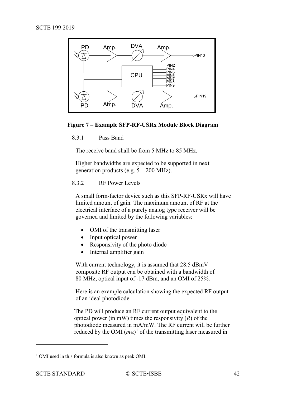

#### <span id="page-41-2"></span><span id="page-41-0"></span>**Figure 7 – Example SFP-RF-USRx Module Block Diagram**

8.3.1 Pass Band

The receive band shall be from 5 MHz to 85 MHz.

Higher bandwidths are expected to be supported in next generation products (e.g.  $5 - 200$  MHz).

#### <span id="page-41-1"></span>8.3.2 RF Power Levels

A small form-factor device such as this SFP-RF-USRx will have limited amount of gain. The maximum amount of RF at the electrical interface of a purely analog type receiver will be governed and limited by the following variables:

- OMI of the transmitting laser
- Input optical power
- Responsivity of the photo diode
- Internal amplifier gain

With current technology, it is assumed that 28.5 dBmV composite RF output can be obtained with a bandwidth of 80 MHz, optical input of -17 dBm, and an OMI of 25%.

Here is an example calculation showing the expected RF output of an ideal photodiode.

The PD will produce an RF current output equivalent to the optical power (in mW) times the responsivity (*R*) of the photodiode measured in mA/mW. The RF current will be further reduced by the OMI  $(m\%)^1$  $(m\%)^1$  of the transmitting laser measured in

 $\overline{a}$ 

<span id="page-41-3"></span><sup>&</sup>lt;sup>1</sup> OMI used in this formula is also known as peak OMI.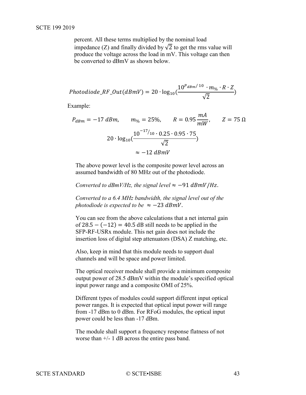percent. All these terms multiplied by the nominal load impedance (Z) and finally divided by  $\sqrt{2}$  to get the rms value will produce the voltage across the load in mV. This voltage can then be converted to dBmV as shown below.

$$
Photo diode\_RF\_Out(dBmV) = 20 \cdot log_{10}(\frac{10^{P_{dBm}/10} \cdot m_{\%} \cdot R \cdot Z}{\sqrt{2}})
$$

Example:

$$
P_{dBm} = -17 \text{ dBm}, \qquad m_{\%} = 25\%, \qquad R = 0.95 \frac{mA}{mW}, \qquad Z = 75 \text{ }\Omega
$$

$$
20 \cdot \log_{10}(\frac{10^{-17}/10 \cdot 0.25 \cdot 0.95 \cdot 75}{\sqrt{2}})
$$

$$
\approx -12 \text{ dBmV}
$$

The above power level is the composite power level across an assumed bandwidth of 80 MHz out of the photodiode.

*Converted to dBmV/Hz, the signal level*  $\approx -91$  *dBmV*/Hz.

*Converted to a 6.4 MHz bandwidth, the signal level out of the photodiode is expected to be*  $\approx -23$  *dBmV*.

You can see from the above calculations that a net internal gain of  $28.5 - (-12) = 40.5$  dB still needs to be applied in the SFP-RF-USRx module. This net gain does not include the insertion loss of digital step attenuators (DSA) Z matching, etc.

Also, keep in mind that this module needs to support dual channels and will be space and power limited.

The optical receiver module shall provide a minimum composite output power of 28.5 dBmV within the module's specified optical input power range and a composite OMI of 25%.

Different types of modules could support different input optical power ranges. It is expected that optical input power will range from -17 dBm to 0 dBm. For RFoG modules, the optical input power could be less than -17 dBm.

The module shall support a frequency response flatness of not worse than +/- 1 dB across the entire pass band.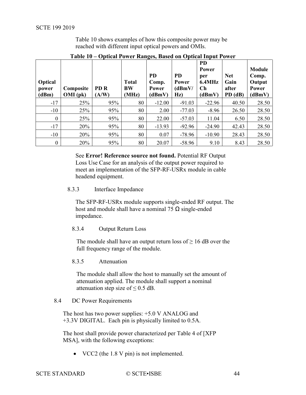[Table 10](#page-43-4) shows examples of how this composite power may be reached with different input optical powers and OMIs.

<span id="page-43-4"></span>

| <b>Optical</b><br>power<br>(dBm) | Composite<br>$OMI$ (pk) | PD <sub>R</sub><br>(A/W) | <b>Total</b><br><b>BW</b><br>(MHz) | <b>PD</b><br>Comp.<br>Power<br>(dBmV) | <b>PD</b><br>Power<br>(dBmV)<br>Hz) | <b>PD</b><br><b>Power</b><br>per<br>6.4MHz<br>$\mathbf C$ h<br>(dBmV) | <b>Net</b><br>Gain<br>after<br>PD (dB) | <b>Module</b><br>Comp.<br>Output<br>Power<br>(dBmV) |
|----------------------------------|-------------------------|--------------------------|------------------------------------|---------------------------------------|-------------------------------------|-----------------------------------------------------------------------|----------------------------------------|-----------------------------------------------------|
| $-17$                            | 25%                     | 95%                      | 80                                 | $-12.00$                              | $-91.03$                            | $-22.96$                                                              | 40.50                                  | 28.50                                               |
| $-10$                            | 25%                     | 95%                      | 80                                 | 2.00                                  | $-77.03$                            | $-8.96$                                                               | 26.50                                  | 28.50                                               |
| $\overline{0}$                   | 25%                     | 95%                      | 80                                 | 22.00                                 | $-57.03$                            | 11.04                                                                 | 6.50                                   | 28.50                                               |
| $-17$                            | 20%                     | 95%                      | 80                                 | $-13.93$                              | $-92.96$                            | $-24.90$                                                              | 42.43                                  | 28.50                                               |
| $-10$                            | 20%                     | 95%                      | 80                                 | 0.07                                  | $-78.96$                            | $-10.90$                                                              | 28.43                                  | 28.50                                               |
| $\boldsymbol{0}$                 | 20%                     | 95%                      | 80                                 | 20.07                                 | $-58.96$                            | 9.10                                                                  | 8.43                                   | 28.50                                               |

**Table 10 – Optical Power Ranges, Based on Optical Input Power**

See **Error! Reference source not found.** [Potential RF Output](#page-49-3)  [Loss Use Case](#page-49-3) for an analysis of the output power required to meet an implementation of the SFP-RF-USRx module in cable headend equipment.

<span id="page-43-0"></span>8.3.3 Interface Impedance

The SFP-RF-USRx module supports single-ended RF output. The host and module shall have a nominal 75  $\Omega$  single-ended impedance.

<span id="page-43-1"></span>8.3.4 Output Return Loss

The module shall have an output return loss of  $\geq 16$  dB over the full frequency range of the module.

## <span id="page-43-2"></span>8.3.5 Attenuation

The module shall allow the host to manually set the amount of attenuation applied. The module shall support a nominal attenuation step size of  $\leq$  0.5 dB.

#### <span id="page-43-3"></span>8.4 DC Power Requirements

The host has two power supplies: +5.0 V ANALOG and +3.3V DIGITAL. Each pin is physically limited to 0.5A.

The host shall provide power characterized per Table 4 of [\[XFP](#page-8-2)  [MSA\],](#page-8-2) with the following exceptions:

• VCC2 (the 1.8 V pin) is not implemented.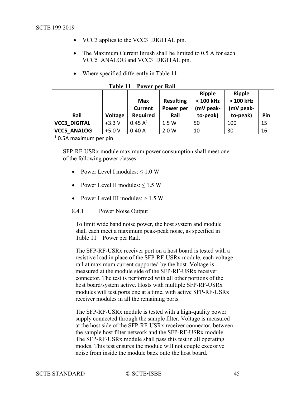- <span id="page-44-1"></span>• VCC3 applies to the VCC3\_DIGITAL pin.
- The Maximum Current Inrush shall be limited to 0.5 A for each VCC5\_ANALOG and VCC3\_DIGITAL pin.
- Where specified differently in [Table 11.](#page-44-2)

<span id="page-44-2"></span>

| Rail                     | <b>Voltage</b> | <b>Max</b><br><b>Current</b><br><b>Required</b> | <b>Resulting</b><br>Power per<br>Rail | <b>Ripple</b><br>< 100 kHz<br>(mV peak-<br>to-peak) | <b>Ripple</b><br>> 100 kHz<br>(mV peak-<br>to-peak) | Pin |
|--------------------------|----------------|-------------------------------------------------|---------------------------------------|-----------------------------------------------------|-----------------------------------------------------|-----|
| <b>VCC3 DIGITAL</b>      | $+3.3V$        | 0.45 A <sup>1</sup>                             | 1.5 W                                 | 50                                                  | 100                                                 | 15  |
| <b>VCC5 ANALOG</b>       | $+5.0V$        | 0.40A                                           | 2.0 W                                 | 10                                                  | 30                                                  | 16  |
| $1$ 0.5A maximum per pin |                |                                                 |                                       |                                                     |                                                     |     |

**Table 11 – Power per Rail**

SFP-RF-USRx module maximum power consumption shall meet one of the following power classes:

- Power Level I modules:  $\leq 1.0$  W
- Power Level II modules:  $\leq 1.5$  W
- Power Level III modules: > 1.5 W
- <span id="page-44-0"></span>8.4.1 Power Noise Output

To limit wide band noise power, the host system and module shall each meet a maximum peak-peak noise, as specified in Table 11 – [Power per Rail.](#page-44-2)

The SFP-RF-USRx receiver port on a host board is tested with a resistive load in place of the SFP-RF-USRx module, each voltage rail at maximum current supported by the host. Voltage is measured at the module side of the SFP-RF-USRx receiver connector. The test is performed with all other portions of the host board/system active. Hosts with multiple SFP-RF-USRx modules will test ports one at a time, with active SFP-RF-USRx receiver modules in all the remaining ports.

The SFP-RF-USRx module is tested with a high-quality power supply connected through the sample filter. Voltage is measured at the host side of the SFP-RF-USRx receiver connector, between the sample host filter network and the SFP-RF-USRx module. The SFP-RF-USRx module shall pass this test in all operating modes. This test ensures the module will not couple excessive noise from inside the module back onto the host board.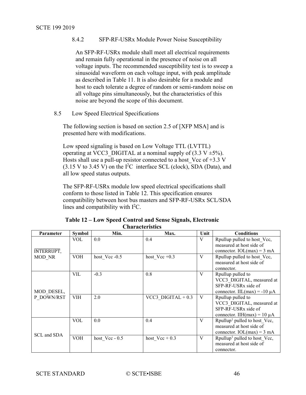8.4.2 SFP-RF-USRx Module Power Noise Susceptibility

An SFP-RF-USRx module shall meet all electrical requirements and remain fully operational in the presence of noise on all voltage inputs. The recommended susceptibility test is to sweep a sinusoidal waveform on each voltage input, with peak amplitude as described in [Table 11.](#page-44-2) It is also desirable for a module and host to each tolerate a degree of random or semi-random noise on all voltage pins simultaneously, but the characteristics of this noise are beyond the scope of this document.

<span id="page-45-0"></span>8.5 Low Speed Electrical Specifications

The following section is based on section 2.5 of [\[XFP MSA\]](#page-8-2) and is presented here with modifications.

Low speed signaling is based on Low Voltage TTL (LVTTL) operating at VCC3 DIGITAL at a nominal supply of  $(3.3 V \pm 5\%)$ . Hosts shall use a pull-up resistor connected to a host Vcc of  $+3.3$  V  $(3.15 \text{ V to } 3.45 \text{ V})$  on the I<sup>2</sup>C interface SCL (clock), SDA (Data), and all low speed status outputs.

The SFP-RF-USRx module low speed electrical specifications shall conform to those listed in [Table 12.](#page-45-1) This specification ensures compatibility between host bus masters and SFP-RF-USRx SCL/SDA lines and compatibility with  $I<sup>2</sup>C$ .

<span id="page-45-1"></span>

|             | UHAI AUUI ISUUS |                |                     |      |                                          |  |  |
|-------------|-----------------|----------------|---------------------|------|------------------------------------------|--|--|
| Parameter   | <b>Symbol</b>   | Min.           | Max.                | Unit | <b>Conditions</b>                        |  |  |
|             | VOL             | 0.0            | 0.4                 | V    | Rpullup pulled to host Vcc,              |  |  |
|             |                 |                |                     |      | measured at host side of                 |  |  |
| INTERRUPT,  |                 |                |                     |      | connector. $IOL(max) = 3 mA$             |  |  |
| MOD NR      | VOH             | host Vcc -0.5  | host $Vec +0.3$     | V    | Rpullup pulled to host Vcc,              |  |  |
|             |                 |                |                     |      | measured at host side of                 |  |  |
|             |                 |                |                     |      | connector.                               |  |  |
|             | VIL             | $-0.3$         | 0.8                 | V    | Rpullup pulled to                        |  |  |
|             |                 |                |                     |      | VCC3 DIGITAL, measured at                |  |  |
|             |                 |                |                     |      | SFP-RF-USRx side of                      |  |  |
| MOD DESEL,  |                 |                |                     |      | connector. IIL(max) = -10 $\mu$ A        |  |  |
| P DOWN/RST  | VIH             | 2.0            | VCC3 DIGITAL $+0.3$ | V    | Rpullup pulled to                        |  |  |
|             |                 |                |                     |      | VCC3 DIGITAL, measured at                |  |  |
|             |                 |                |                     |      | SFP-RF-USRx side of                      |  |  |
|             |                 |                |                     |      | connector. IIH(max) = $10 \mu A$         |  |  |
|             | VOL             | 0.0            | 0.4                 | V    | Rpullup <sup>1</sup> pulled to host Vcc, |  |  |
|             |                 |                |                     |      | measured at host side of                 |  |  |
|             |                 |                |                     |      | connector. $IOL(max) = 3 mA$             |  |  |
| SCL and SDA | <b>VOH</b>      | host Vcc - 0.5 | host $Vec + 0.3$    | V    | Rpullup <sup>1</sup> pulled to host_Vcc, |  |  |
|             |                 |                |                     |      | measured at host side of                 |  |  |
|             |                 |                |                     |      | connector.                               |  |  |

**Table 12 – Low Speed Control and Sense Signals, Electronic Characteristics**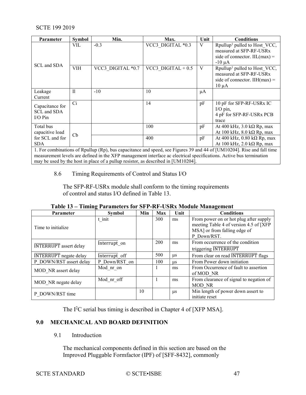| <b>Parameter</b>                            | <b>Symbol</b> | Min.              | Max.                | Unit | <b>Conditions</b>                                                                                                    |
|---------------------------------------------|---------------|-------------------|---------------------|------|----------------------------------------------------------------------------------------------------------------------|
| SCL and SDA                                 | VIL           | $-0.3$            | VCC3 DIGITAL *0.3   | V    | Rpullup <sup>1</sup> pulled to Host VCC,<br>measured at SFP-RF-USRx<br>side of connector. IIL $(max)$<br>$-10 \mu A$ |
|                                             | VIH           | VCC3 DIGITAL *0.7 | VCC3 DIGITAL $+0.5$ | V    | Rpullup <sup>1</sup> pulled to Host VCC,<br>measured at SFP-RF-USRx<br>side of connector. IIH(max) =<br>$10 \mu A$   |
| Leakage<br>Current                          | $\mathbf{I}$  | $-10$             | 10                  | μA   |                                                                                                                      |
| Capacitance for<br>SCL and SDA<br>$I/O$ Pin | Ci            |                   | 14                  | pF   | 10 pF for SFP-RF-USRx IC<br>$I/O$ pin,<br>4 pF for SFP-RF-USRx PCB<br>trace                                          |
| Total bus<br>capacitive load                |               |                   | 100                 | pF   | At 400 kHz, $3.0$ kΩ Rp, max<br>At 100 kHz, $8.0$ kΩ Rp, max                                                         |
| for SCL and for<br><b>SDA</b>               | Cb            |                   | 400                 | pF   | At 400 kHz, $0.80$ k $\Omega$ Rp, max<br>At 100 kHz, 2.0 k $\Omega$ Rp, max                                          |

<span id="page-46-0"></span>1. For combinations of Rpullup (Rp), bus capacitance and speed, see Figures 39 and 44 of [\[UM10204\].](#page-8-3) Rise and fall time measurement levels are defined in the XFP management interface ac electrical specifications. Active bus termination may be used by the host in place of a pullup resistor, as described in [\[UM10204\].](#page-8-3)

8.6 Timing Requirements of Control and Status I/O

The SFP-RF-USRx module shall conform to the timing requirements of control and status I/O defined in [Table 13.](#page-46-3)

|  |  | Table 13 – Timing Parameters for SFP-RF-USRx Module Management |
|--|--|----------------------------------------------------------------|
|--|--|----------------------------------------------------------------|

<span id="page-46-3"></span>

| Parameter                     | <b>Symbol</b> | Min | Max | Unit      | <b>Conditions</b>                       |
|-------------------------------|---------------|-----|-----|-----------|-----------------------------------------|
|                               | t init        |     | 300 | ms        | From power on or hot plug after supply  |
| Time to initialize.           |               |     |     |           | meeting Table 4 of version 4.5 of [XFP] |
|                               |               |     |     |           | MSA] or from falling edge of            |
|                               |               |     |     |           | P Down/RST.                             |
|                               | Interrupt on  |     | 200 | ms        | From occurrence of the condition        |
| <b>INTERRUPT</b> assert delay |               |     |     |           | triggering INTERRUPT                    |
| <b>INTERRUPT</b> negate delay | Interrupt off |     | 500 | $\mu$ s   | From clear on read INTERRUPT flags      |
| P DOWN/RST assert delay       | P Down/RST on |     | 100 | <b>us</b> | From Power down initiation              |
|                               | Mod nr on     |     |     | ms        | From Occurrence of fault to assertion   |
| MOD NR assert delay           |               |     |     |           | of MOD NR                               |
|                               | Mod nr off    |     |     | ms        | From clearance of signal to negation of |
| MOD NR negate delay           |               |     |     |           | MOD NR                                  |
| P DOWN/RST time               |               | 10  |     | μs        | Min length of power down assert to      |
|                               |               |     |     |           | initiate reset                          |

The I<sup>2</sup>C serial bus timing is described in Chapter 4 of [\[XFP MSA\].](#page-8-2)

# <span id="page-46-2"></span><span id="page-46-1"></span>**9.0 MECHANICAL AND BOARD DEFINITION**

9.1 Introduction

The mechanical components defined in this section are based on the Improved Pluggable Formfactor (IPF) of [\[SFF-8432\],](#page-8-5) commonly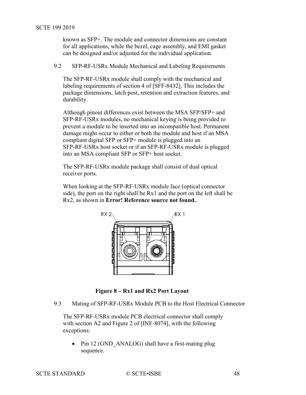known as SFP+. The module and connector dimensions are constant for all applications, while the bezel, cage assembly, and EMI gasket can be designed and/or adjusted for the individual application.

<span id="page-47-0"></span>9.2 SFP-RF-USRx Module Mechanical and Labeling Requirements

The SFP-RF-USRx module shall comply with the mechanical and labeling requirements of section 4 of [\[SFF-8432\].](#page-8-5) This includes the package dimensions, latch post, retention and extraction features, and durability.

Although pinout differences exist between the MSA SFP/SFP+ and SFP-RF-USRx modules, no mechanical keying is being provided to prevent a module to be inserted into an incompatible host. Permanent damage might occur to either or both the module and host if an MSA compliant digital SFP or SFP+ module is plugged into an SFP-RF-USRx host socket or if an SFP-RF-USRx module is plugged into an MSA compliant SFP or SFP+ host socket.

The SFP-RF-USRx module package shall consist of dual optical receiver ports.

When looking at the SFP-RF-USRx module face (optical connector side), the port on the right shall be Rx1 and the port on the left shall be Rx2, as shown in **Error! Reference source not found.**.



**Figure 8 – Rx1 and Rx2 Port Layout**

<span id="page-47-2"></span><span id="page-47-1"></span>9.3 Mating of SFP-RF-USRx Module PCB to the Host Electrical Connector

The SFP-RF-USRx module PCB electrical connector shall comply with section A2 and Figure 2 of [\[INF-8074\],](#page-8-4) with the following exceptions:

Pin 12 (GND ANALOG) shall have a first-mating plug sequence.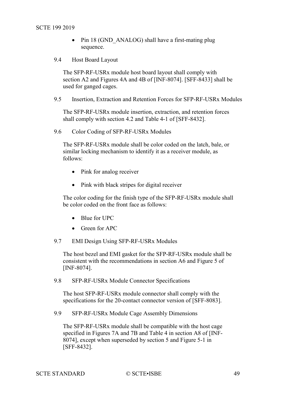- Pin 18 (GND ANALOG) shall have a first-mating plug sequence.
- <span id="page-48-6"></span><span id="page-48-0"></span>9.4 Host Board Layout

The SFP-RF-USRx module host board layout shall comply with section A2 and Figures 4A and 4B of [\[INF-8074\].](#page-8-4) [\[SFF-8433\]](#page-8-6) shall be used for ganged cages.

<span id="page-48-1"></span>9.5 Insertion, Extraction and Retention Forces for SFP-RF-USRx Modules

The SFP-RF-USRx module insertion, extraction, and retention forces shall comply with section 4.2 and Table 4-1 of [\[SFF-8432\].](#page-8-5)

<span id="page-48-2"></span>9.6 Color Coding of SFP-RF-USRx Modules

The SFP-RF-USRx module shall be color coded on the latch, bale, or similar locking mechanism to identify it as a receiver module, as follows:

- Pink for analog receiver
- Pink with black stripes for digital receiver

The color coding for the finish type of the SFP-RF-USRx module shall be color coded on the front face as follows:

- Blue for UPC
- Green for APC

<span id="page-48-3"></span>9.7 EMI Design Using SFP-RF-USRx Modules

The host bezel and EMI gasket for the SFP-RF-USRx module shall be consistent with the recommendations in section A6 and Figure 5 of [\[INF-8074\].](#page-8-4)

<span id="page-48-4"></span>9.8 SFP-RF-USRx Module Connector Specifications

The host SFP-RF-USRx module connector shall comply with the specifications for the 20-contact connector version of [\[SFF-8083\].](#page-8-7)

<span id="page-48-5"></span>9.9 SFP-RF-USRx Module Cage Assembly Dimensions

The SFP-RF-USRx module shall be compatible with the host cage specified in Figures 7A and 7B and Table 4 in section A8 of [\[INF-](#page-8-4)[8074\],](#page-8-4) except when superseded by section 5 and Figure 5-1 in [\[SFF-8432\].](#page-8-5)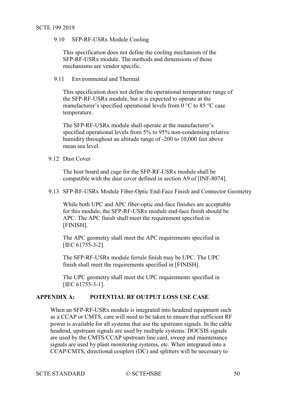#### SCTE 199 2019

## 9.10 SFP-RF-USRx Module Cooling

This specification does not define the cooling mechanism of the SFP-RF-USRx module. The methods and dimensions of those mechanisms are vendor specific.

### <span id="page-49-0"></span>9.11 Environmental and Thermal

This specification does not define the operational temperature range of the SFP-RF-USRx module, but it is expected to operate at the manufacturer's specified operational levels from  $0^{\circ}$ C to  $85^{\circ}$ C case temperature.

The SFP-RF-USRx module shall operate at the manufacturer's specified operational levels from 5% to 95% non-condensing relative humidity throughout an altitude range of -200 to 10,000 feet above mean sea level.

## <span id="page-49-1"></span>9.12 Dust Cover

The host board and cage for the SFP-RF-USRx module shall be compatible with the dust cover defined in section A9 of [\[INF-8074\].](#page-8-4)

## <span id="page-49-2"></span>9.13 SFP-RF-USRx Module Fiber-Optic End-Face Finish and Connector Geometry

While both UPC and APC fiber-optic end-face finishes are acceptable for this module, the SFP-RF-USRx module end-face finish should be APC. The APC finish shall meet the requirement specified in [\[FINISH\].](#page-8-8)

The APC geometry shall meet the APC requirements specified in [IEC [61755-3-2\].](#page-7-2)

The SFP-RF-USRx module ferrule finish may be UPC. The UPC finish shall meet the requirements specified in [\[FINISH\].](#page-8-8)

The UPC geometry shall meet the UPC requirements specified in [IEC [61755-3-1\].](#page-7-3)

# <span id="page-49-3"></span>**APPENDIX A: POTENTIAL RF OUTPUT LOSS USE CASE**

When an SFP-RF-USRx module is integrated into headend equipment such as a CCAP or CMTS, care will need to be taken to ensure that sufficient RF power is available for all systems that use the upstream signals. In the cable headend, upstream signals are used by multiple systems: DOCSIS signals are used by the CMTS/CCAP upstream line card, sweep and maintenance signals are used by plant monitoring systems, etc. When integrated into a CCAP/CMTS, directional couplers (DC) and splitters will be necessary to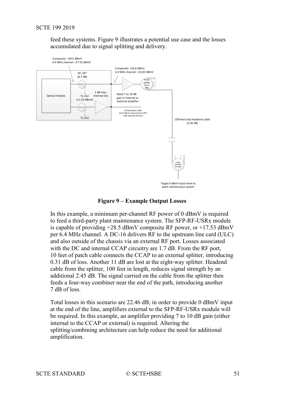feed these systems. [Figure 9](#page-50-0) illustrates a potential use case and the losses accumulated due to signal splitting and delivery.



**Figure 9 – Example Output Losses**

<span id="page-50-0"></span>In this example, a minimum per-channel RF power of 0 dBmV is required to feed a third-party plant maintenance system. The SFP-RF-USRx module is capable of providing  $+28.5$  dBmV composite RF power, or  $+17.53$  dBmV per 6.4 MHz channel. A DC-16 delivers RF to the upstream line card (ULC) and also outside of the chassis via an external RF port. Losses associated with the DC and internal CCAP circuitry are 1.7 dB. From the RF port, 10 feet of patch cable connects the CCAP to an external splitter, introducing 0.31 dB of loss. Another 11 dB are lost at the eight-way splitter. Headend cable from the splitter, 100 feet in length, reduces signal strength by an additional 2.45 dB. The signal carried on the cable from the splitter then feeds a four-way combiner near the end of the path, introducing another 7 dB of loss.

Total losses in this scenario are 22.46 dB; in order to provide 0 dBmV input at the end of the line, amplifiers external to the SFP-RF-USRx module will be required. In this example, an amplifier providing 7 to 10 dB gain (either internal to the CCAP or external) is required. Altering the splitting/combining architecture can help reduce the need for additional amplification.